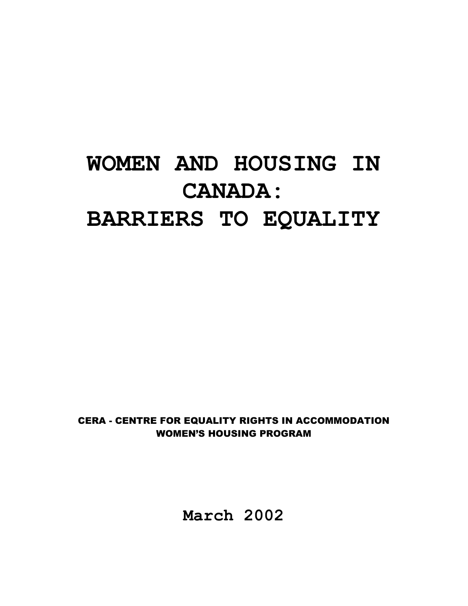# **WOMEN AND HOUSING IN CANADA: BARRIERS TO EQUALITY**

CERA - CENTRE FOR EQUALITY RIGHTS IN ACCOMMODATION WOMEN'S HOUSING PROGRAM

**March 2002**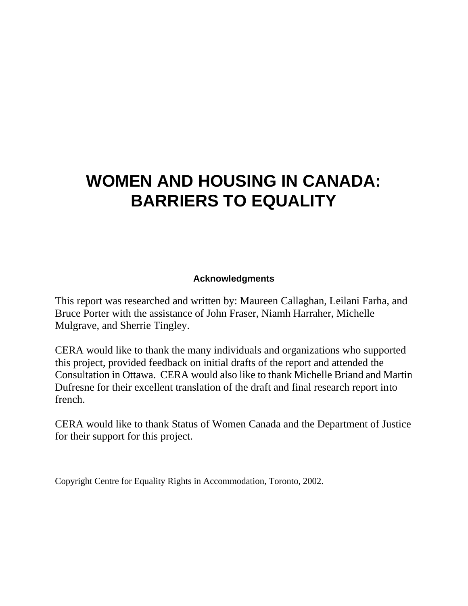# **WOMEN AND HOUSING IN CANADA: BARRIERS TO EQUALITY**

#### **Acknowledgments**

This report was researched and written by: Maureen Callaghan, Leilani Farha, and Bruce Porter with the assistance of John Fraser, Niamh Harraher, Michelle Mulgrave, and Sherrie Tingley.

CERA would like to thank the many individuals and organizations who supported this project, provided feedback on initial drafts of the report and attended the Consultation in Ottawa. CERA would also like to thank Michelle Briand and Martin Dufresne for their excellent translation of the draft and final research report into french.

CERA would like to thank Status of Women Canada and the Department of Justice for their support for this project.

Copyright Centre for Equality Rights in Accommodation, Toronto, 2002.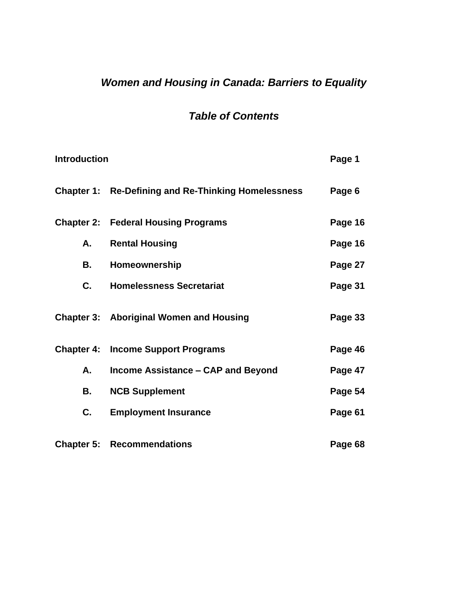# *Women and Housing in Canada: Barriers to Equality*

# *Table of Contents*

| <b>Introduction</b> |                                                            | Page 1  |
|---------------------|------------------------------------------------------------|---------|
|                     | <b>Chapter 1: Re-Defining and Re-Thinking Homelessness</b> | Page 6  |
|                     | <b>Chapter 2: Federal Housing Programs</b>                 | Page 16 |
| А.                  | <b>Rental Housing</b>                                      | Page 16 |
| В.                  | Homeownership                                              | Page 27 |
| C.                  | <b>Homelessness Secretariat</b>                            | Page 31 |
|                     | <b>Chapter 3: Aboriginal Women and Housing</b>             | Page 33 |
|                     | <b>Chapter 4: Income Support Programs</b>                  | Page 46 |
| А.                  | Income Assistance - CAP and Beyond                         | Page 47 |
| В.                  | <b>NCB Supplement</b>                                      | Page 54 |
| С.                  | <b>Employment Insurance</b>                                | Page 61 |
| <b>Chapter 5:</b>   | <b>Recommendations</b>                                     | Page 68 |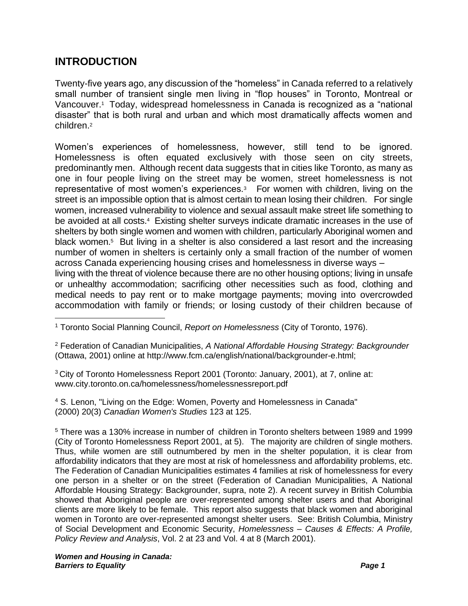## **INTRODUCTION**

Twenty-five years ago, any discussion of the "homeless" in Canada referred to a relatively small number of transient single men living in "flop houses" in Toronto, Montreal or Vancouver.<sup>1</sup> Today, widespread homelessness in Canada is recognized as a "national disaster" that is both rural and urban and which most dramatically affects women and children.<sup>2</sup>

Women's experiences of homelessness, however, still tend to be ignored. Homelessness is often equated exclusively with those seen on city streets, predominantly men. Although recent data suggests that in cities like Toronto, as many as one in four people living on the street may be women, street homelessness is not representative of most women's experiences.<sup>3</sup> For women with children, living on the street is an impossible option that is almost certain to mean losing their children. For single women, increased vulnerability to violence and sexual assault make street life something to be avoided at all costs.<sup>4</sup> Existing shelter surveys indicate dramatic increases in the use of shelters by both single women and women with children, particularly Aboriginal women and black women.<sup>5</sup> But living in a shelter is also considered a last resort and the increasing number of women in shelters is certainly only a small fraction of the number of women across Canada experiencing housing crises and homelessness in diverse ways –

<span id="page-4-0"></span>living with the threat of violence because there are no other housing options; living in unsafe or unhealthy accommodation; sacrificing other necessities such as food, clothing and medical needs to pay rent or to make mortgage payments; moving into overcrowded accommodation with family or friends; or losing custody of their children because of

<sup>2</sup> Federation of Canadian Municipalities, *A National Affordable Housing Strategy: Backgrounder* (Ottawa, 2001) online at http://www.fcm.ca/english/national/backgrounder-e.html;

<sup>3</sup> City of Toronto Homelessness Report 2001 (Toronto: January, 2001), at 7, online at: www.city.toronto.on.ca/homelessness/homelessnessreport.pdf

<sup>4</sup> S. Lenon, "Living on the Edge: Women, Poverty and Homelessness in Canada" (2000) 20(3) *Canadian Women's Studies* 123 at 125.

<sup>5</sup> There was a 130% increase in number of children in Toronto shelters between 1989 and 1999 (City of Toronto Homelessness Report 2001, at 5). The majority are children of single mothers. Thus, while women are still outnumbered by men in the shelter population, it is clear from affordability indicators that they are most at risk of homelessness and affordability problems, etc. The Federation of Canadian Municipalities estimates 4 families at risk of homelessness for every one person in a shelter or on the street (Federation of Canadian Municipalities, A National Affordable Housing Strategy: Backgrounder, supra, note 2). A recent survey in British Columbia showed that Aboriginal people are over-represented among shelter users and that Aboriginal clients are more likely to be female. This report also suggests that black women and aboriginal women in Toronto are over-represented amongst shelter users. See: British Columbia, Ministry of Social Development and Economic Security, *Homelessness – Causes & Effects: A Profile, Policy Review and Analysis*, Vol. 2 at 23 and Vol. 4 at 8 (March 2001).

<sup>1</sup> Toronto Social Planning Council, *Report on Homelessness* (City of Toronto, 1976).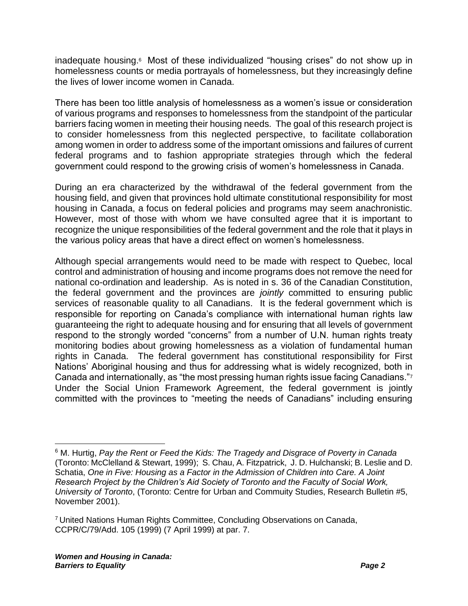inadequate housing.<sup>6</sup> Most of these individualized "housing crises" do not show up in homelessness counts or media portrayals of homelessness, but they increasingly define the lives of lower income women in Canada.

There has been too little analysis of homelessness as a women's issue or consideration of various programs and responses to homelessness from the standpoint of the particular barriers facing women in meeting their housing needs. The goal of this research project is to consider homelessness from this neglected perspective, to facilitate collaboration among women in order to address some of the important omissions and failures of current federal programs and to fashion appropriate strategies through which the federal government could respond to the growing crisis of women's homelessness in Canada.

During an era characterized by the withdrawal of the federal government from the housing field, and given that provinces hold ultimate constitutional responsibility for most housing in Canada, a focus on federal policies and programs may seem anachronistic. However, most of those with whom we have consulted agree that it is important to recognize the unique responsibilities of the federal government and the role that it plays in the various policy areas that have a direct effect on women's homelessness.

Although special arrangements would need to be made with respect to Quebec, local control and administration of housing and income programs does not remove the need for national co-ordination and leadership. As is noted in s. 36 of the Canadian Constitution, the federal government and the provinces are *jointly* committed to ensuring public services of reasonable quality to all Canadians. It is the federal government which is responsible for reporting on Canada's compliance with international human rights law guaranteeing the right to adequate housing and for ensuring that all levels of government respond to the strongly worded "concerns" from a number of U.N. human rights treaty monitoring bodies about growing homelessness as a violation of fundamental human rights in Canada. The federal government has constitutional responsibility for First Nations' Aboriginal housing and thus for addressing what is widely recognized, both in Canada and internationally, as "the most pressing human rights issue facing Canadians." $^7$ Under the Social Union Framework Agreement, the federal government is jointly committed with the provinces to "meeting the needs of Canadians" including ensuring

<sup>6</sup> M. Hurtig, *Pay the Rent or Feed the Kids: The Tragedy and Disgrace of Poverty in Canada* (Toronto: McClelland & Stewart, 1999); S. Chau, A. Fitzpatrick, J. D. Hulchanski; B. Leslie and D. Schatia, *One in Five: Housing as a Factor in the Admission of Children into Care. A Joint Research Project by the Children's Aid Society of Toronto and the Faculty of Social Work, University of Toronto*, (Toronto: Centre for Urban and Commuity Studies, Research Bulletin #5, November 2001).

<sup>7</sup> United Nations Human Rights Committee, Concluding Observations on Canada, CCPR/C/79/Add. 105 (1999) (7 April 1999) at par. 7.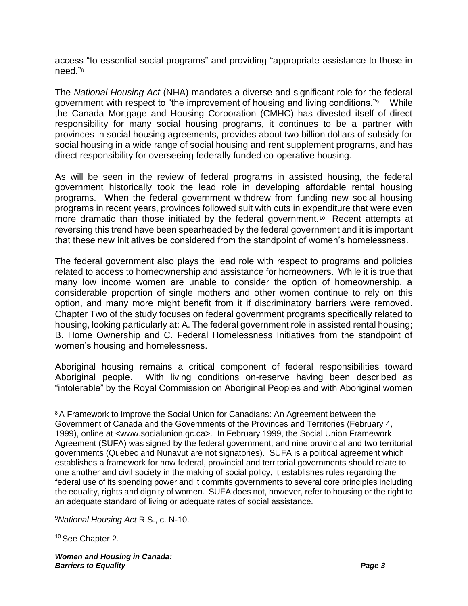access "to essential social programs" and providing "appropriate assistance to those in need."<sup>8</sup>

The *National Housing Act* (NHA) mandates a diverse and significant role for the federal government with respect to "the improvement of housing and living conditions."<sup>9</sup> While the Canada Mortgage and Housing Corporation (CMHC) has divested itself of direct responsibility for many social housing programs, it continues to be a partner with provinces in social housing agreements, provides about two billion dollars of subsidy for social housing in a wide range of social housing and rent supplement programs, and has direct responsibility for overseeing federally funded co-operative housing.

As will be seen in the review of federal programs in assisted housing, the federal government historically took the lead role in developing affordable rental housing programs. When the federal government withdrew from funding new social housing programs in recent years, provinces followed suit with cuts in expenditure that were even more dramatic than those initiated by the federal government.<sup>10</sup> Recent attempts at reversing this trend have been spearheaded by the federal government and it is important that these new initiatives be considered from the standpoint of women's homelessness.

The federal government also plays the lead role with respect to programs and policies related to access to homeownership and assistance for homeowners. While it is true that many low income women are unable to consider the option of homeownership, a considerable proportion of single mothers and other women continue to rely on this option, and many more might benefit from it if discriminatory barriers were removed. Chapter Two of the study focuses on federal government programs specifically related to housing, looking particularly at: A. The federal government role in assisted rental housing; B. Home Ownership and C. Federal Homelessness Initiatives from the standpoint of women's housing and homelessness.

Aboriginal housing remains a critical component of federal responsibilities toward Aboriginal people. With living conditions on-reserve having been described as "intolerable" by the Royal Commission on Aboriginal Peoples and with Aboriginal women

<sup>10</sup> See Chapter 2.

<sup>&</sup>lt;sup>8</sup> A Framework to Improve the Social Union for Canadians: An Agreement between the Government of Canada and the Governments of the Provinces and Territories (February 4, 1999), online at <www.socialunion.gc.ca>. In February 1999, the Social Union Framework Agreement (SUFA) was signed by the federal government, and nine provincial and two territorial governments (Quebec and Nunavut are not signatories). SUFA is a political agreement which establishes a framework for how federal, provincial and territorial governments should relate to one another and civil society in the making of social policy, it establishes rules regarding the federal use of its spending power and it commits governments to several core principles including the equality, rights and dignity of women. SUFA does not, however, refer to housing or the right to an adequate standard of living or adequate rates of social assistance.

<sup>9</sup>*National Housing Act* R.S., c. N-10.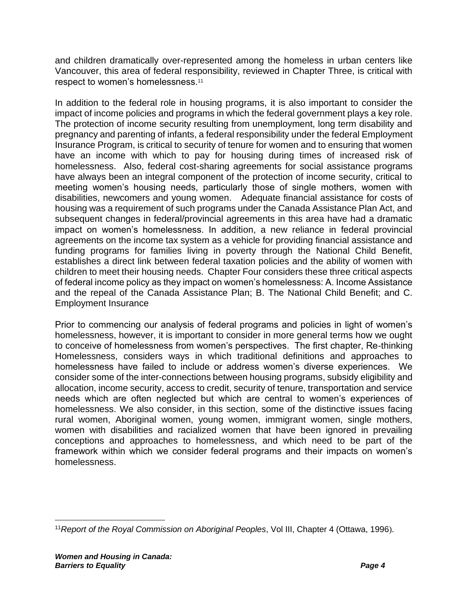and children dramatically over-represented among the homeless in urban centers like Vancouver, this area of federal responsibility, reviewed in Chapter Three, is critical with respect to women's homelessness.<sup>11</sup>

In addition to the federal role in housing programs, it is also important to consider the impact of income policies and programs in which the federal government plays a key role. The protection of income security resulting from unemployment, long term disability and pregnancy and parenting of infants, a federal responsibility under the federal Employment Insurance Program, is critical to security of tenure for women and to ensuring that women have an income with which to pay for housing during times of increased risk of homelessness. Also, federal cost-sharing agreements for social assistance programs have always been an integral component of the protection of income security, critical to meeting women's housing needs, particularly those of single mothers, women with disabilities, newcomers and young women. Adequate financial assistance for costs of housing was a requirement of such programs under the Canada Assistance Plan Act, and subsequent changes in federal/provincial agreements in this area have had a dramatic impact on women's homelessness. In addition, a new reliance in federal provincial agreements on the income tax system as a vehicle for providing financial assistance and funding programs for families living in poverty through the National Child Benefit, establishes a direct link between federal taxation policies and the ability of women with children to meet their housing needs. Chapter Four considers these three critical aspects of federal income policy as they impact on women's homelessness: A. Income Assistance and the repeal of the Canada Assistance Plan; B. The National Child Benefit; and C. Employment Insurance

Prior to commencing our analysis of federal programs and policies in light of women's homelessness, however, it is important to consider in more general terms how we ought to conceive of homelessness from women's perspectives. The first chapter, Re-thinking Homelessness, considers ways in which traditional definitions and approaches to homelessness have failed to include or address women's diverse experiences. We consider some of the inter-connections between housing programs, subsidy eligibility and allocation, income security, access to credit, security of tenure, transportation and service needs which are often neglected but which are central to women's experiences of homelessness. We also consider, in this section, some of the distinctive issues facing rural women, Aboriginal women, young women, immigrant women, single mothers, women with disabilities and racialized women that have been ignored in prevailing conceptions and approaches to homelessness, and which need to be part of the framework within which we consider federal programs and their impacts on women's homelessness.

<sup>11</sup>*Report of the Royal Commission on Aboriginal Peoples*, Vol III, Chapter 4 (Ottawa, 1996).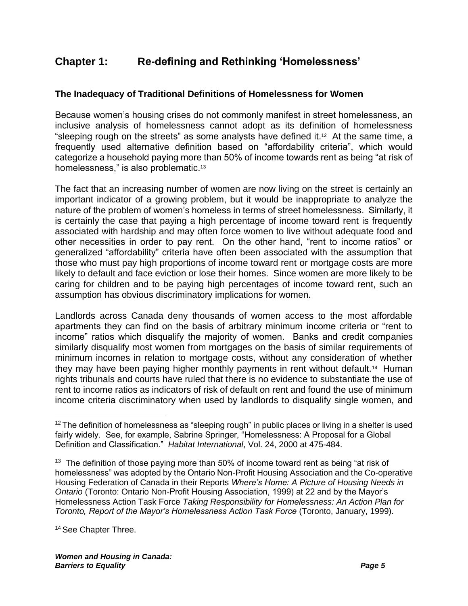# **Chapter 1: Re-defining and Rethinking 'Homelessness'**

#### **The Inadequacy of Traditional Definitions of Homelessness for Women**

Because women's housing crises do not commonly manifest in street homelessness, an inclusive analysis of homelessness cannot adopt as its definition of homelessness "sleeping rough on the streets" as some analysts have defined it.<sup>12</sup> At the same time, a frequently used alternative definition based on "affordability criteria", which would categorize a household paying more than 50% of income towards rent as being "at risk of homelessness," is also problematic.<sup>13</sup>

<span id="page-8-0"></span>The fact that an increasing number of women are now living on the street is certainly an important indicator of a growing problem, but it would be inappropriate to analyze the nature of the problem of women's homeless in terms of street homelessness. Similarly, it is certainly the case that paying a high percentage of income toward rent is frequently associated with hardship and may often force women to live without adequate food and other necessities in order to pay rent. On the other hand, "rent to income ratios" or generalized "affordability" criteria have often been associated with the assumption that those who must pay high proportions of income toward rent or mortgage costs are more likely to default and face eviction or lose their homes. Since women are more likely to be caring for children and to be paying high percentages of income toward rent, such an assumption has obvious discriminatory implications for women.

Landlords across Canada deny thousands of women access to the most affordable apartments they can find on the basis of arbitrary minimum income criteria or "rent to income" ratios which disqualify the majority of women. Banks and credit companies similarly disqualify most women from mortgages on the basis of similar requirements of minimum incomes in relation to mortgage costs, without any consideration of whether they may have been paying higher monthly payments in rent without default.<sup>14</sup> Human rights tribunals and courts have ruled that there is no evidence to substantiate the use of rent to income ratios as indicators of risk of default on rent and found the use of minimum income criteria discriminatory when used by landlords to disqualify single women, and

<sup>14</sup> See Chapter Three.

 $12$  The definition of homelessness as "sleeping rough" in public places or living in a shelter is used fairly widely. See, for example, Sabrine Springer, "Homelessness: A Proposal for a Global Definition and Classification." *Habitat International*, Vol. 24, 2000 at 475-484.

 $13$  The definition of those paying more than 50% of income toward rent as being "at risk of homelessness" was adopted by the Ontario Non-Profit Housing Association and the Co-operative Housing Federation of Canada in their Reports *Where's Home: A Picture of Housing Needs in Ontario* (Toronto: Ontario Non-Profit Housing Association, 1999) at 22 and by the Mayor's Homelessness Action Task Force *Taking Responsibility for Homelessness: An Action Plan for Toronto, Report of the Mayor's Homelessness Action Task Force* (Toronto, January, 1999).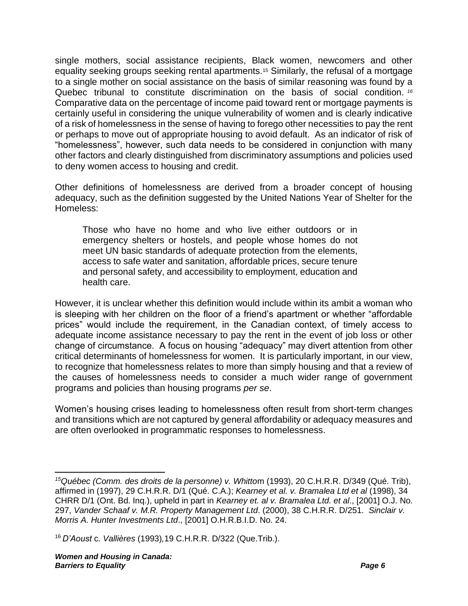<span id="page-9-0"></span>single mothers, social assistance recipients, Black women, newcomers and other equality seeking groups seeking rental apartments.15 Similarly, the refusal of a mortgage to a single mother on social assistance on the basis of similar reasoning was found by a Quebec tribunal to constitute discrimination on the basis of social condition. *<sup>16</sup>* Comparative data on the percentage of income paid toward rent or mortgage payments is certainly useful in considering the unique vulnerability of women and is clearly indicative of a risk of homelessness in the sense of having to forego other necessities to pay the rent or perhaps to move out of appropriate housing to avoid default. As an indicator of risk of "homelessness", however, such data needs to be considered in conjunction with many other factors and clearly distinguished from discriminatory assumptions and policies used to deny women access to housing and credit.

Other definitions of homelessness are derived from a broader concept of housing adequacy, such as the definition suggested by the United Nations Year of Shelter for the Homeless:

Those who have no home and who live either outdoors or in emergency shelters or hostels, and people whose homes do not meet UN basic standards of adequate protection from the elements, access to safe water and sanitation, affordable prices, secure tenure and personal safety, and accessibility to employment, education and health care.

However, it is unclear whether this definition would include within its ambit a woman who is sleeping with her children on the floor of a friend's apartment or whether "affordable prices" would include the requirement, in the Canadian context, of timely access to adequate income assistance necessary to pay the rent in the event of job loss or other change of circumstance. A focus on housing "adequacy" may divert attention from other critical determinants of homelessness for women. It is particularly important, in our view, to recognize that homelessness relates to more than simply housing and that a review of the causes of homelessness needs to consider a much wider range of government programs and policies than housing programs *per se*.

Women's housing crises leading to homelessness often result from short-term changes and transitions which are not captured by general affordability or adequacy measures and are often overlooked in programmatic responses to homelessness.

*<sup>15</sup>Québec (Comm. des droits de la personne) v. Whitto*m (1993), 20 C.H.R.R. D/349 (Qué. Trib), affirmed in (1997), 29 C.H.R.R. D/1 (Qué. C.A.); *Kearney et al. v. Bramalea Ltd et al* (1998), 34 CHRR D/1 (Ont. Bd. Inq.), upheld in part in *Kearney et. al v. Bramalea Ltd. et al*., [2001] O.J. No. 297, *Vander Schaaf v. M.R. Property Management Ltd*. (2000), 38 C.H.R.R. D/251. *Sinclair v. Morris A. Hunter Investments Ltd*., [2001] O.H.R.B.I.D. No. 24.

<sup>16</sup> *D'Aoust* c*. Vallières* (1993)*,*19 C.H.R.R. D/322 (Que.Trib.).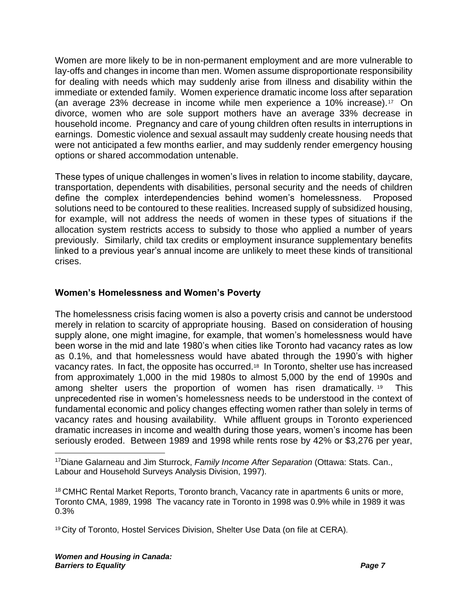Women are more likely to be in non-permanent employment and are more vulnerable to lay-offs and changes in income than men. Women assume disproportionate responsibility for dealing with needs which may suddenly arise from illness and disability within the immediate or extended family. Women experience dramatic income loss after separation (an average 23% decrease in income while men experience a 10% increase).<sup>17</sup> On divorce, women who are sole support mothers have an average 33% decrease in household income. Pregnancy and care of young children often results in interruptions in earnings. Domestic violence and sexual assault may suddenly create housing needs that were not anticipated a few months earlier, and may suddenly render emergency housing options or shared accommodation untenable.

These types of unique challenges in women's lives in relation to income stability, daycare, transportation, dependents with disabilities, personal security and the needs of children define the complex interdependencies behind women's homelessness. Proposed solutions need to be contoured to these realities. Increased supply of subsidized housing, for example, will not address the needs of women in these types of situations if the allocation system restricts access to subsidy to those who applied a number of years previously. Similarly, child tax credits or employment insurance supplementary benefits linked to a previous year's annual income are unlikely to meet these kinds of transitional crises.

#### **Women's Homelessness and Women's Poverty**

The homelessness crisis facing women is also a poverty crisis and cannot be understood merely in relation to scarcity of appropriate housing. Based on consideration of housing supply alone, one might imagine, for example, that women's homelessness would have been worse in the mid and late 1980's when cities like Toronto had vacancy rates as low as 0.1%, and that homelessness would have abated through the 1990's with higher vacancy rates. In fact, the opposite has occurred.<sup>18</sup> In Toronto, shelter use has increased from approximately 1,000 in the mid 1980s to almost 5,000 by the end of 1990s and among shelter users the proportion of women has risen dramatically.<sup>19</sup> This unprecedented rise in women's homelessness needs to be understood in the context of fundamental economic and policy changes effecting women rather than solely in terms of vacancy rates and housing availability. While affluent groups in Toronto experienced dramatic increases in income and wealth during those years, women's income has been seriously eroded. Between 1989 and 1998 while rents rose by 42% or \$3,276 per year,

<sup>17</sup>Diane Galarneau and Jim Sturrock, *Family Income After Separation* (Ottawa: Stats. Can., Labour and Household Surveys Analysis Division, 1997).

<sup>18</sup> CMHC Rental Market Reports, Toronto branch, Vacancy rate in apartments 6 units or more, Toronto CMA, 1989, 1998 The vacancy rate in Toronto in 1998 was 0.9% while in 1989 it was 0.3%

<sup>19</sup> City of Toronto, Hostel Services Division, Shelter Use Data (on file at CERA).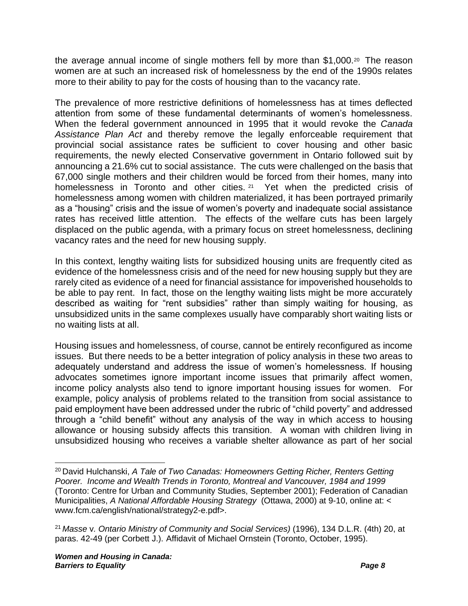the average annual income of single mothers fell by more than \$1,000.<sup>20</sup> The reason women are at such an increased risk of homelessness by the end of the 1990s relates more to their ability to pay for the costs of housing than to the vacancy rate.

The prevalence of more restrictive definitions of homelessness has at times deflected attention from some of these fundamental determinants of women's homelessness. When the federal government announced in 1995 that it would revoke the *Canada Assistance Plan Act* and thereby remove the legally enforceable requirement that provincial social assistance rates be sufficient to cover housing and other basic requirements, the newly elected Conservative government in Ontario followed suit by announcing a 21.6% cut to social assistance. The cuts were challenged on the basis that 67,000 single mothers and their children would be forced from their homes, many into homelessness in Toronto and other cities. <sup>21</sup> Yet when the predicted crisis of homelessness among women with children materialized, it has been portrayed primarily as a "housing" crisis and the issue of women's poverty and inadequate social assistance rates has received little attention. The effects of the welfare cuts has been largely displaced on the public agenda, with a primary focus on street homelessness, declining vacancy rates and the need for new housing supply.

In this context, lengthy waiting lists for subsidized housing units are frequently cited as evidence of the homelessness crisis and of the need for new housing supply but they are rarely cited as evidence of a need for financial assistance for impoverished households to be able to pay rent. In fact, those on the lengthy waiting lists might be more accurately described as waiting for "rent subsidies" rather than simply waiting for housing, as unsubsidized units in the same complexes usually have comparably short waiting lists or no waiting lists at all.

Housing issues and homelessness, of course, cannot be entirely reconfigured as income issues. But there needs to be a better integration of policy analysis in these two areas to adequately understand and address the issue of women's homelessness. If housing advocates sometimes ignore important income issues that primarily affect women, income policy analysts also tend to ignore important housing issues for women. For example, policy analysis of problems related to the transition from social assistance to paid employment have been addressed under the rubric of "child poverty" and addressed through a "child benefit" without any analysis of the way in which access to housing allowance or housing subsidy affects this transition. A woman with children living in unsubsidized housing who receives a variable shelter allowance as part of her social

<sup>20</sup> David Hulchanski, *A Tale of Two Canadas: Homeowners Getting Richer, Renters Getting Poorer. Income and Wealth Trends in Toronto, Montreal and Vancouver, 1984 and 1999* (Toronto: Centre for Urban and Community Studies, September 2001); Federation of Canadian Municipalities, *A National Affordable Housing Strategy* (Ottawa, 2000) at 9-10, online at: < www.fcm.ca/english/national/strategy2-e.pdf>.

<sup>21</sup> *Masse* v*. Ontario Ministry of Community and Social Services)* (1996), 134 D.L.R. (4th) 20, at paras. 42-49 (per Corbett J.). Affidavit of Michael Ornstein (Toronto, October, 1995).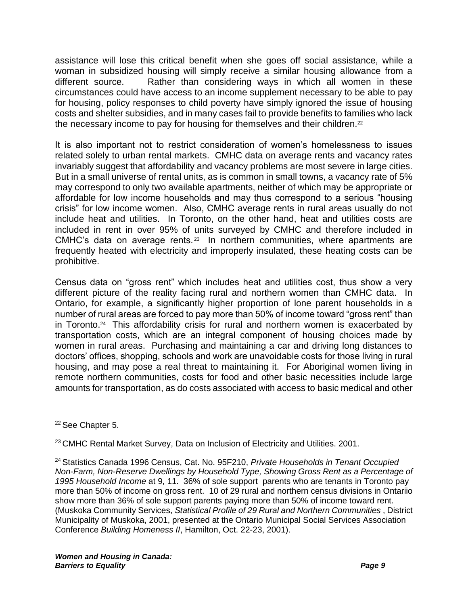assistance will lose this critical benefit when she goes off social assistance, while a woman in subsidized housing will simply receive a similar housing allowance from a different source. Rather than considering ways in which all women in these circumstances could have access to an income supplement necessary to be able to pay for housing, policy responses to child poverty have simply ignored the issue of housing costs and shelter subsidies, and in many cases fail to provide benefits to families who lack the necessary income to pay for housing for themselves and their children.<sup>22</sup>

It is also important not to restrict consideration of women's homelessness to issues related solely to urban rental markets. CMHC data on average rents and vacancy rates invariably suggest that affordability and vacancy problems are most severe in large cities. But in a small universe of rental units, as is common in small towns, a vacancy rate of 5% may correspond to only two available apartments, neither of which may be appropriate or affordable for low income households and may thus correspond to a serious "housing crisis" for low income women. Also, CMHC average rents in rural areas usually do not include heat and utilities. In Toronto, on the other hand, heat and utilities costs are included in rent in over 95% of units surveyed by CMHC and therefore included in CMHC's data on average rents.<sup>23</sup> In northern communities, where apartments are frequently heated with electricity and improperly insulated, these heating costs can be prohibitive.

Census data on "gross rent" which includes heat and utilities cost, thus show a very different picture of the reality facing rural and northern women than CMHC data. In Ontario, for example, a significantly higher proportion of lone parent households in a number of rural areas are forced to pay more than 50% of income toward "gross rent" than in Toronto.<sup>24</sup> This affordability crisis for rural and northern women is exacerbated by transportation costs, which are an integral component of housing choices made by women in rural areas. Purchasing and maintaining a car and driving long distances to doctors' offices, shopping, schools and work are unavoidable costs for those living in rural housing, and may pose a real threat to maintaining it. For Aboriginal women living in remote northern communities, costs for food and other basic necessities include large amounts for transportation, as do costs associated with access to basic medical and other

<sup>23</sup> CMHC Rental Market Survey, Data on Inclusion of Electricity and Utilities. 2001.

<sup>22</sup> See Chapter 5.

<sup>24</sup> Statistics Canada 1996 Census, Cat. No. 95F210, *Private Households in Tenant Occupied Non-Farm, Non-Reserve Dwellings by Household Type, Showing Gross Rent as a Percentage of 1995 Household Income* at 9, 11. 36% of sole support parents who are tenants in Toronto pay more than 50% of income on gross rent. 10 of 29 rural and northern census divisions in Ontariio show more than 36% of sole support parents paying more than 50% of income toward rent. (Muskoka Community Services, *Statistical Profile of 29 Rural and Northern Communities* , District Municipality of Muskoka, 2001, presented at the Ontario Municipal Social Services Association Conference *Building Homeness II*, Hamilton, Oct. 22-23, 2001).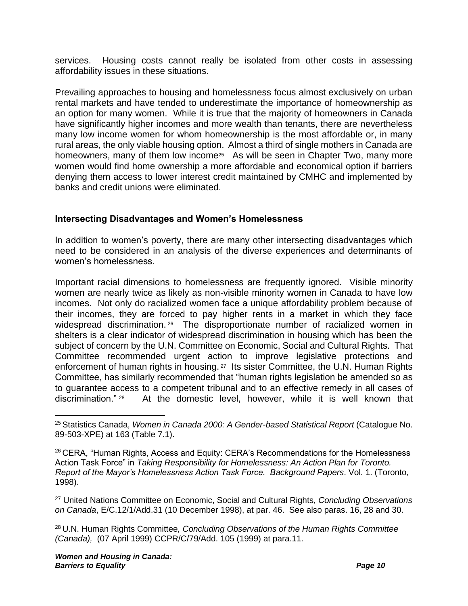services. Housing costs cannot really be isolated from other costs in assessing affordability issues in these situations.

Prevailing approaches to housing and homelessness focus almost exclusively on urban rental markets and have tended to underestimate the importance of homeownership as an option for many women. While it is true that the majority of homeowners in Canada have significantly higher incomes and more wealth than tenants, there are nevertheless many low income women for whom homeownership is the most affordable or, in many rural areas, the only viable housing option. Almost a third of single mothers in Canada are homeowners, many of them low income<sup>25</sup> As will be seen in Chapter Two, many more women would find home ownership a more affordable and economical option if barriers denying them access to lower interest credit maintained by CMHC and implemented by banks and credit unions were eliminated.

#### <span id="page-13-0"></span>**Intersecting Disadvantages and Women's Homelessness**

In addition to women's poverty, there are many other intersecting disadvantages which need to be considered in an analysis of the diverse experiences and determinants of women's homelessness.

Important racial dimensions to homelessness are frequently ignored. Visible minority women are nearly twice as likely as non-visible minority women in Canada to have low incomes. Not only do racialized women face a unique affordability problem because of their incomes, they are forced to pay higher rents in a market in which they face widespread discrimination.<sup>26</sup> The disproportionate number of racialized women in shelters is a clear indicator of widespread discrimination in housing which has been the subject of concern by the U.N. Committee on Economic, Social and Cultural Rights. That Committee recommended urgent action to improve legislative protections and enforcement of human rights in housing.<sup>27</sup> Its sister Committee, the U.N. Human Rights Committee, has similarly recommended that "human rights legislation be amended so as to guarantee access to a competent tribunal and to an effective remedy in all cases of discrimination." <sup>28</sup> At the domestic level, however, while it is well known that

<sup>27</sup> United Nations Committee on Economic, Social and Cultural Rights, *Concluding Observations on Canada*, E/C.12/1/Add.31 (10 December 1998), at par. 46. See also paras. 16, 28 and 30.

<sup>28</sup> U.N. Human Rights Committee*, Concluding Observations of the Human Rights Committee (Canada),* (07 April 1999) CCPR/C/79/Add. 105 (1999) at para.11.

<sup>25</sup> Statistics Canada, *Women in Canada 2000: A Gender-based Statistical Report* (Catalogue No. 89-503-XPE) at 163 (Table 7.1).

<sup>&</sup>lt;sup>26</sup> CERA, "Human Rights, Access and Equity: CERA's Recommendations for the Homelessness Action Task Force" in *Taking Responsibility for Homelessness: An Action Plan for Toronto. Report of the Mayor's Homelessness Action Task Force. Background Papers*. Vol. 1. (Toronto, 1998).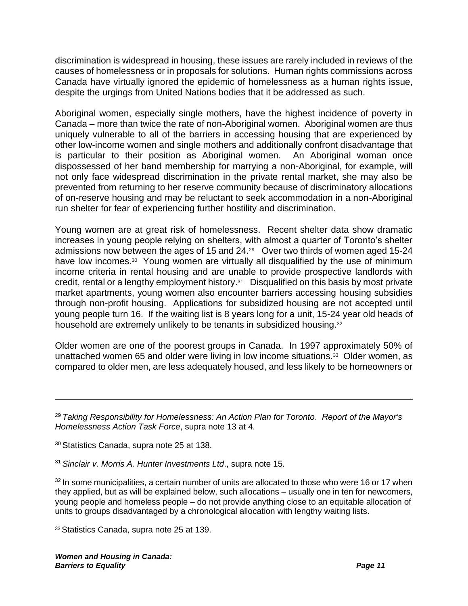discrimination is widespread in housing, these issues are rarely included in reviews of the causes of homelessness or in proposals for solutions. Human rights commissions across Canada have virtually ignored the epidemic of homelessness as a human rights issue, despite the urgings from United Nations bodies that it be addressed as such.

Aboriginal women, especially single mothers, have the highest incidence of poverty in Canada – more than twice the rate of non-Aboriginal women. Aboriginal women are thus uniquely vulnerable to all of the barriers in accessing housing that are experienced by other low-income women and single mothers and additionally confront disadvantage that is particular to their position as Aboriginal women. An Aboriginal woman once dispossessed of her band membership for marrying a non-Aboriginal, for example, will not only face widespread discrimination in the private rental market, she may also be prevented from returning to her reserve community because of discriminatory allocations of on-reserve housing and may be reluctant to seek accommodation in a non-Aboriginal run shelter for fear of experiencing further hostility and discrimination.

Young women are at great risk of homelessness. Recent shelter data show dramatic increases in young people relying on shelters, with almost a quarter of Toronto's shelter admissions now between the ages of 15 and 24.<sup>29</sup> Over two thirds of women aged 15-24 have low incomes.<sup>30</sup> Young women are virtually all disqualified by the use of minimum income criteria in rental housing and are unable to provide prospective landlords with credit, rental or a lengthy employment history.<sup>31</sup> Disqualified on this basis by most private market apartments, young women also encounter barriers accessing housing subsidies through non-profit housing. Applications for subsidized housing are not accepted until young people turn 16. If the waiting list is 8 years long for a unit, 15-24 year old heads of household are extremely unlikely to be tenants in subsidized housing.<sup>32</sup>

Older women are one of the poorest groups in Canada. In 1997 approximately 50% of unattached women 65 and older were living in low income situations.<sup>33</sup> Older women, as compared to older men, are less adequately housed, and less likely to be homeowners or

<sup>30</sup> Statistics Canada, supra note [25](#page-13-0) at 138.

<sup>31</sup> *Sinclair v. Morris A. Hunter Investments Ltd*., supra note [15.](#page-9-0)

 $32$  In some municipalities, a certain number of units are allocated to those who were 16 or 17 when they applied, but as will be explained below, such allocations – usually one in ten for newcomers, young people and homeless people – do not provide anything close to an equitable allocation of units to groups disadvantaged by a chronological allocation with lengthy waiting lists.

<sup>33</sup>Statistics Canada, supra note [25](#page-13-0) at 139.

<sup>29</sup> *Taking Responsibility for Homelessness: An Action Plan for Toronto*. *Report of the Mayor's Homelessness Action Task Force*, supra note [13](#page-8-0) at 4.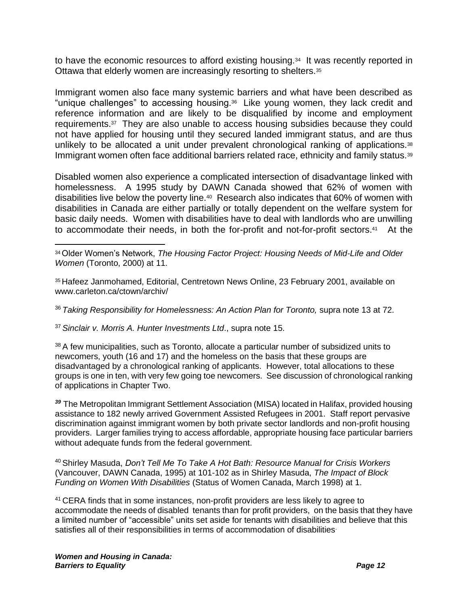to have the economic resources to afford existing housing.<sup>34</sup> It was recently reported in Ottawa that elderly women are increasingly resorting to shelters.<sup>35</sup>

Immigrant women also face many systemic barriers and what have been described as "unique challenges" to accessing housing.<sup>36</sup> Like young women, they lack credit and reference information and are likely to be disqualified by income and employment requirements.<sup>37</sup> They are also unable to access housing subsidies because they could not have applied for housing until they secured landed immigrant status, and are thus unlikely to be allocated a unit under prevalent chronological ranking of applications.<sup>38</sup> Immigrant women often face additional barriers related race, ethnicity and family status.<sup>39</sup>

<span id="page-15-0"></span>Disabled women also experience a complicated intersection of disadvantage linked with homelessness. A 1995 study by DAWN Canada showed that 62% of women with disabilities live below the poverty line.<sup>40</sup> Research also indicates that 60% of women with disabilities in Canada are either partially or totally dependent on the welfare system for basic daily needs. Women with disabilities have to deal with landlords who are unwilling to accommodate their needs, in both the for-profit and not-for-profit sectors.<sup>41</sup> At the

<sup>36</sup> *Taking Responsibility for Homelessness: An Action Plan for Toronto,* supra note [13](#page-8-0) at 72.

<sup>37</sup> *Sinclair v. Morris A. Hunter Investments Ltd*., supra note [15.](#page-9-0)

<sup>38</sup> A few municipalities, such as Toronto, allocate a particular number of subsidized units to newcomers, youth (16 and 17) and the homeless on the basis that these groups are disadvantaged by a chronological ranking of applicants. However, total allocations to these groups is one in ten, with very few going toe newcomers. See discussion of chronological ranking of applications in Chapter Two.

*<sup>39</sup>* The Metropolitan Immigrant Settlement Association (MISA) located in Halifax, provided housing assistance to 182 newly arrived Government Assisted Refugees in 2001. Staff report pervasive discrimination against immigrant women by both private sector landlords and non-profit housing providers. Larger families trying to access affordable, appropriate housing face particular barriers without adequate funds from the federal government.

<sup>40</sup> Shirley Masuda, *Don't Tell Me To Take A Hot Bath: Resource Manual for Crisis Workers*  (Vancouver, DAWN Canada, 1995) at 101-102 as in Shirley Masuda, *The Impact of Block Funding on Women With Disabilities* (Status of Women Canada, March 1998) at 1.

<sup>41</sup> CERA finds that in some instances, non-profit providers are less likely to agree to accommodate the needs of disabled tenants than for profit providers, on the basis that they have a limited number of "accessible" units set aside for tenants with disabilities and believe that this satisfies all of their responsibilities in terms of accommodation of disabilities

<sup>34</sup>Older Women's Network, *The Housing Factor Project: Housing Needs of Mid-Life and Older Women* (Toronto, 2000) at 11.

<sup>35</sup> Hafeez Janmohamed, Editorial, Centretown News Online, 23 February 2001, available on www.carleton.ca/ctown/archiv/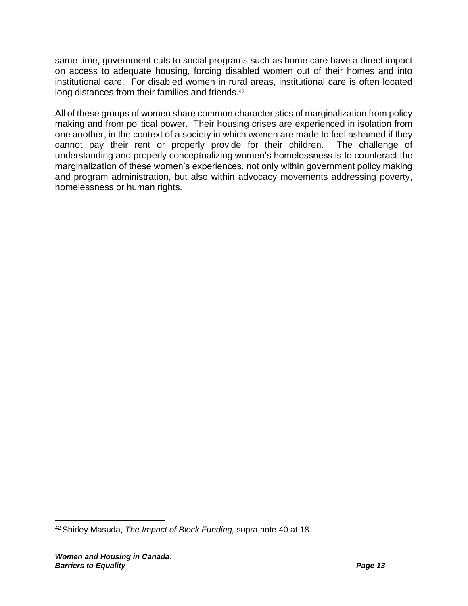same time, government cuts to social programs such as home care have a direct impact on access to adequate housing, forcing disabled women out of their homes and into institutional care. For disabled women in rural areas, institutional care is often located long distances from their families and friends.<sup>42</sup>

All of these groups of women share common characteristics of marginalization from policy making and from political power. Their housing crises are experienced in isolation from one another, in the context of a society in which women are made to feel ashamed if they cannot pay their rent or properly provide for their children. The challenge of understanding and properly conceptualizing women's homelessness is to counteract the marginalization of these women's experiences, not only within government policy making and program administration, but also within advocacy movements addressing poverty, homelessness or human rights.

<sup>42</sup> Shirley Masuda, *The Impact of Block Funding,* supra note [40](#page-15-0) at 18.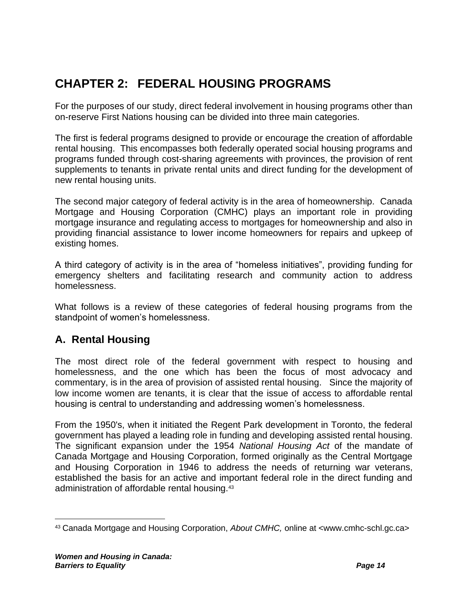# **CHAPTER 2: FEDERAL HOUSING PROGRAMS**

For the purposes of our study, direct federal involvement in housing programs other than on-reserve First Nations housing can be divided into three main categories.

The first is federal programs designed to provide or encourage the creation of affordable rental housing. This encompasses both federally operated social housing programs and programs funded through cost-sharing agreements with provinces, the provision of rent supplements to tenants in private rental units and direct funding for the development of new rental housing units.

The second major category of federal activity is in the area of homeownership. Canada Mortgage and Housing Corporation (CMHC) plays an important role in providing mortgage insurance and regulating access to mortgages for homeownership and also in providing financial assistance to lower income homeowners for repairs and upkeep of existing homes.

A third category of activity is in the area of "homeless initiatives", providing funding for emergency shelters and facilitating research and community action to address homelessness.

What follows is a review of these categories of federal housing programs from the standpoint of women's homelessness.

# **A. Rental Housing**

The most direct role of the federal government with respect to housing and homelessness, and the one which has been the focus of most advocacy and commentary, is in the area of provision of assisted rental housing. Since the majority of low income women are tenants, it is clear that the issue of access to affordable rental housing is central to understanding and addressing women's homelessness.

From the 1950's, when it initiated the Regent Park development in Toronto, the federal government has played a leading role in funding and developing assisted rental housing. The significant expansion under the 1954 *National Housing Act* of the mandate of Canada Mortgage and Housing Corporation, formed originally as the Central Mortgage and Housing Corporation in 1946 to address the needs of returning war veterans, established the basis for an active and important federal role in the direct funding and administration of affordable rental housing.<sup>43</sup>

<sup>43</sup> Canada Mortgage and Housing Corporation, *About CMHC,* online at <www.cmhc-schl.gc.ca>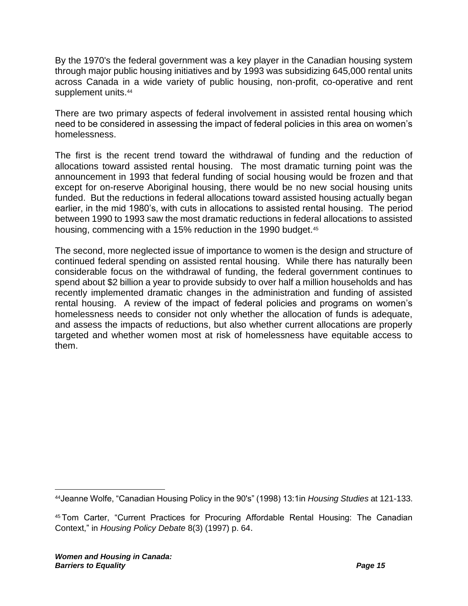By the 1970's the federal government was a key player in the Canadian housing system through major public housing initiatives and by 1993 was subsidizing 645,000 rental units across Canada in a wide variety of public housing, non-profit, co-operative and rent supplement units.<sup>44</sup>

There are two primary aspects of federal involvement in assisted rental housing which need to be considered in assessing the impact of federal policies in this area on women's homelessness.

The first is the recent trend toward the withdrawal of funding and the reduction of allocations toward assisted rental housing. The most dramatic turning point was the announcement in 1993 that federal funding of social housing would be frozen and that except for on-reserve Aboriginal housing, there would be no new social housing units funded. But the reductions in federal allocations toward assisted housing actually began earlier, in the mid 1980's, with cuts in allocations to assisted rental housing. The period between 1990 to 1993 saw the most dramatic reductions in federal allocations to assisted housing, commencing with a 15% reduction in the 1990 budget.<sup>45</sup>

The second, more neglected issue of importance to women is the design and structure of continued federal spending on assisted rental housing. While there has naturally been considerable focus on the withdrawal of funding, the federal government continues to spend about \$2 billion a year to provide subsidy to over half a million households and has recently implemented dramatic changes in the administration and funding of assisted rental housing. A review of the impact of federal policies and programs on women's homelessness needs to consider not only whether the allocation of funds is adequate, and assess the impacts of reductions, but also whether current allocations are properly targeted and whether women most at risk of homelessness have equitable access to them.

<sup>44</sup>Jeanne Wolfe, "Canadian Housing Policy in the 90's" (1998) 13:1in *Housing Studies* at 121-133.

<sup>45</sup> Tom Carter, "Current Practices for Procuring Affordable Rental Housing: The Canadian Context," in *Housing Policy Debate* 8(3) (1997) p. 64.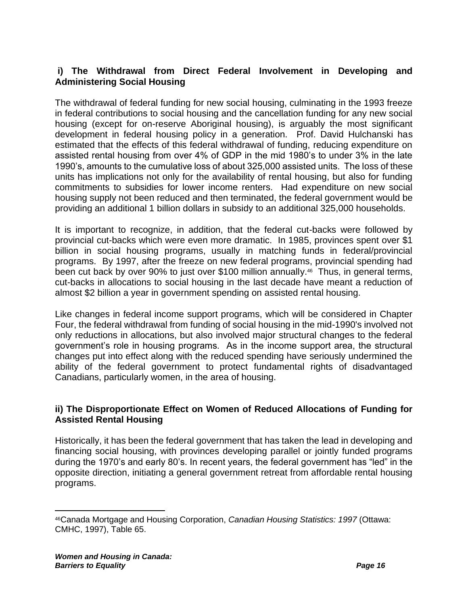#### **i) The Withdrawal from Direct Federal Involvement in Developing and Administering Social Housing**

The withdrawal of federal funding for new social housing, culminating in the 1993 freeze in federal contributions to social housing and the cancellation funding for any new social housing (except for on-reserve Aboriginal housing), is arguably the most significant development in federal housing policy in a generation. Prof. David Hulchanski has estimated that the effects of this federal withdrawal of funding, reducing expenditure on assisted rental housing from over 4% of GDP in the mid 1980's to under 3% in the late 1990's, amounts to the cumulative loss of about 325,000 assisted units. The loss of these units has implications not only for the availability of rental housing, but also for funding commitments to subsidies for lower income renters. Had expenditure on new social housing supply not been reduced and then terminated, the federal government would be providing an additional 1 billion dollars in subsidy to an additional 325,000 households.

<span id="page-19-0"></span>It is important to recognize, in addition, that the federal cut-backs were followed by provincial cut-backs which were even more dramatic. In 1985, provinces spent over \$1 billion in social housing programs, usually in matching funds in federal/provincial programs. By 1997, after the freeze on new federal programs, provincial spending had been cut back by over 90% to just over \$100 million annually.<sup>46</sup> Thus, in general terms, cut-backs in allocations to social housing in the last decade have meant a reduction of almost \$2 billion a year in government spending on assisted rental housing.

Like changes in federal income support programs, which will be considered in Chapter Four, the federal withdrawal from funding of social housing in the mid-1990's involved not only reductions in allocations, but also involved major structural changes to the federal government's role in housing programs. As in the income support area, the structural changes put into effect along with the reduced spending have seriously undermined the ability of the federal government to protect fundamental rights of disadvantaged Canadians, particularly women, in the area of housing.

#### **ii) The Disproportionate Effect on Women of Reduced Allocations of Funding for Assisted Rental Housing**

Historically, it has been the federal government that has taken the lead in developing and financing social housing, with provinces developing parallel or jointly funded programs during the 1970's and early 80's. In recent years, the federal government has "led" in the opposite direction, initiating a general government retreat from affordable rental housing programs.

<sup>46</sup>Canada Mortgage and Housing Corporation, *Canadian Housing Statistics: 1997* (Ottawa: CMHC, 1997), Table 65.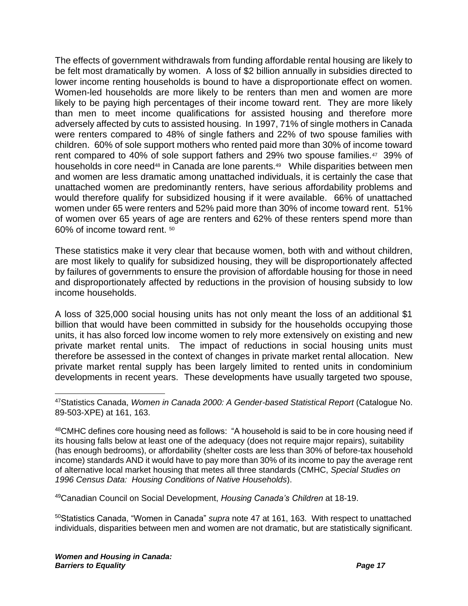The effects of government withdrawals from funding affordable rental housing are likely to be felt most dramatically by women. A loss of \$2 billion annually in subsidies directed to lower income renting households is bound to have a disproportionate effect on women. Women-led households are more likely to be renters than men and women are more likely to be paying high percentages of their income toward rent. They are more likely than men to meet income qualifications for assisted housing and therefore more adversely affected by cuts to assisted housing. In 1997, 71% of single mothers in Canada were renters compared to 48% of single fathers and 22% of two spouse families with children. 60% of sole support mothers who rented paid more than 30% of income toward rent compared to 40% of sole support fathers and 29% two spouse families.<sup>47</sup> 39% of households in core need<sup>48</sup> in Canada are lone parents.<sup>49</sup> While disparities between men and women are less dramatic among unattached individuals, it is certainly the case that unattached women are predominantly renters, have serious affordability problems and would therefore qualify for subsidized housing if it were available. 66% of unattached women under 65 were renters and 52% paid more than 30% of income toward rent. 51% of women over 65 years of age are renters and 62% of these renters spend more than 60% of income toward rent. <sup>50</sup>

<span id="page-20-0"></span>These statistics make it very clear that because women, both with and without children, are most likely to qualify for subsidized housing, they will be disproportionately affected by failures of governments to ensure the provision of affordable housing for those in need and disproportionately affected by reductions in the provision of housing subsidy to low income households.

A loss of 325,000 social housing units has not only meant the loss of an additional \$1 billion that would have been committed in subsidy for the households occupying those units, it has also forced low income women to rely more extensively on existing and new private market rental units. The impact of reductions in social housing units must therefore be assessed in the context of changes in private market rental allocation. New private market rental supply has been largely limited to rented units in condominium developments in recent years. These developments have usually targeted two spouse,

<sup>49</sup>Canadian Council on Social Development, *Housing Canada's Children* at 18-19.

<sup>50</sup>Statistics Canada, "Women in Canada" *supra* note [47](#page-20-0) at 161, 163. With respect to unattached individuals, disparities between men and women are not dramatic, but are statistically significant.

<sup>47</sup>Statistics Canada, *Women in Canada 2000: A Gender-based Statistical Report* (Catalogue No. 89-503-XPE) at 161, 163.

 $48$ CMHC defines core housing need as follows: "A household is said to be in core housing need if its housing falls below at least one of the adequacy (does not require major repairs), suitability (has enough bedrooms), or affordability (shelter costs are less than 30% of before-tax household income) standards AND it would have to pay more than 30% of its income to pay the average rent of alternative local market housing that metes all three standards (CMHC, *Special Studies on 1996 Census Data: Housing Conditions of Native Households*).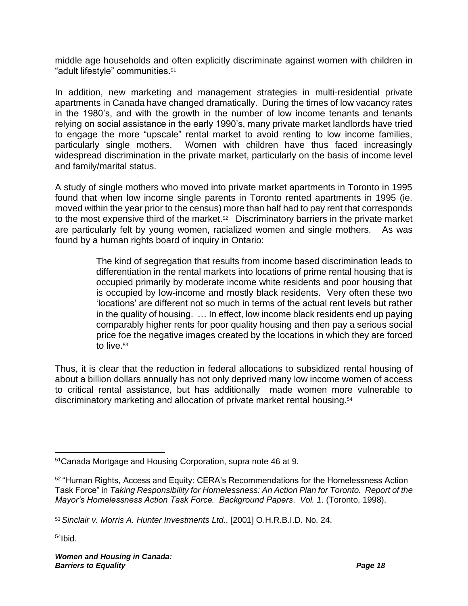middle age households and often explicitly discriminate against women with children in "adult lifestyle" communities.<sup>51</sup>

In addition, new marketing and management strategies in multi-residential private apartments in Canada have changed dramatically. During the times of low vacancy rates in the 1980's, and with the growth in the number of low income tenants and tenants relying on social assistance in the early 1990's, many private market landlords have tried to engage the more "upscale" rental market to avoid renting to low income families, particularly single mothers. Women with children have thus faced increasingly widespread discrimination in the private market, particularly on the basis of income level and family/marital status.

A study of single mothers who moved into private market apartments in Toronto in 1995 found that when low income single parents in Toronto rented apartments in 1995 (ie. moved within the year prior to the census) more than half had to pay rent that corresponds to the most expensive third of the market.<sup>52</sup> Discriminatory barriers in the private market are particularly felt by young women, racialized women and single mothers. As was found by a human rights board of inquiry in Ontario:

> <span id="page-21-0"></span>The kind of segregation that results from income based discrimination leads to differentiation in the rental markets into locations of prime rental housing that is occupied primarily by moderate income white residents and poor housing that is occupied by low-income and mostly black residents. Very often these two 'locations' are different not so much in terms of the actual rent levels but rather in the quality of housing. … In effect, low income black residents end up paying comparably higher rents for poor quality housing and then pay a serious social price foe the negative images created by the locations in which they are forced to live.<sup>53</sup>

Thus, it is clear that the reduction in federal allocations to subsidized rental housing of about a billion dollars annually has not only deprived many low income women of access to critical rental assistance, but has additionally made women more vulnerable to discriminatory marketing and allocation of private market rental housing.<sup>54</sup>

54Ibid.

<sup>51</sup>Canada Mortgage and Housing Corporation, supra note [46](#page-19-0) at 9.

<sup>52</sup> "Human Rights, Access and Equity: CERA's Recommendations for the Homelessness Action Task Force" in *Taking Responsibility for Homelessness: An Action Plan for Toronto. Report of the Mayor's Homelessness Action Task Force. Background Papers*. *Vol. 1*. (Toronto, 1998).

<sup>53</sup>*Sinclair v. Morris A. Hunter Investments Ltd*., [2001] O.H.R.B.I.D. No. 24.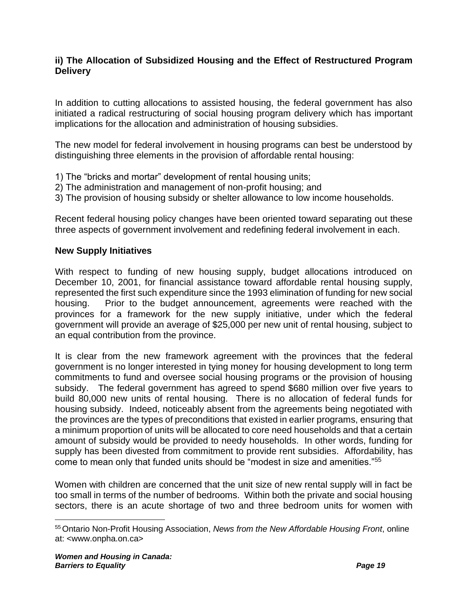#### **ii) The Allocation of Subsidized Housing and the Effect of Restructured Program Delivery**

In addition to cutting allocations to assisted housing, the federal government has also initiated a radical restructuring of social housing program delivery which has important implications for the allocation and administration of housing subsidies.

The new model for federal involvement in housing programs can best be understood by distinguishing three elements in the provision of affordable rental housing:

- 1) The "bricks and mortar" development of rental housing units;
- 2) The administration and management of non-profit housing; and
- 3) The provision of housing subsidy or shelter allowance to low income households.

Recent federal housing policy changes have been oriented toward separating out these three aspects of government involvement and redefining federal involvement in each.

#### **New Supply Initiatives**

With respect to funding of new housing supply, budget allocations introduced on December 10, 2001, for financial assistance toward affordable rental housing supply, represented the first such expenditure since the 1993 elimination of funding for new social housing. Prior to the budget announcement, agreements were reached with the provinces for a framework for the new supply initiative, under which the federal government will provide an average of \$25,000 per new unit of rental housing, subject to an equal contribution from the province.

It is clear from the new framework agreement with the provinces that the federal government is no longer interested in tying money for housing development to long term commitments to fund and oversee social housing programs or the provision of housing subsidy. The federal government has agreed to spend \$680 million over five years to build 80,000 new units of rental housing. There is no allocation of federal funds for housing subsidy. Indeed, noticeably absent from the agreements being negotiated with the provinces are the types of preconditions that existed in earlier programs, ensuring that a minimum proportion of units will be allocated to core need households and that a certain amount of subsidy would be provided to needy households. In other words, funding for supply has been divested from commitment to provide rent subsidies. Affordability, has come to mean only that funded units should be "modest in size and amenities."<sup>55</sup>

Women with children are concerned that the unit size of new rental supply will in fact be too small in terms of the number of bedrooms. Within both the private and social housing sectors, there is an acute shortage of two and three bedroom units for women with

<sup>&</sup>lt;sup>55</sup> Ontario Non-Profit Housing Association, *News from the New Affordable Housing Front*, online at: <www.onpha.on.ca>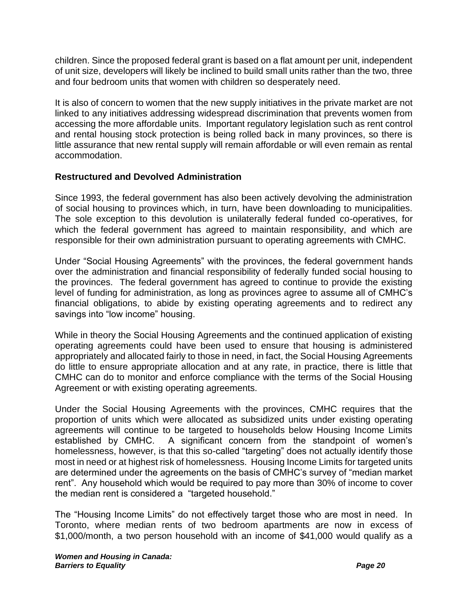children. Since the proposed federal grant is based on a flat amount per unit, independent of unit size, developers will likely be inclined to build small units rather than the two, three and four bedroom units that women with children so desperately need.

It is also of concern to women that the new supply initiatives in the private market are not linked to any initiatives addressing widespread discrimination that prevents women from accessing the more affordable units. Important regulatory legislation such as rent control and rental housing stock protection is being rolled back in many provinces, so there is little assurance that new rental supply will remain affordable or will even remain as rental accommodation.

#### **Restructured and Devolved Administration**

Since 1993, the federal government has also been actively devolving the administration of social housing to provinces which, in turn, have been downloading to municipalities. The sole exception to this devolution is unilaterally federal funded co-operatives, for which the federal government has agreed to maintain responsibility, and which are responsible for their own administration pursuant to operating agreements with CMHC.

Under "Social Housing Agreements" with the provinces, the federal government hands over the administration and financial responsibility of federally funded social housing to the provinces. The federal government has agreed to continue to provide the existing level of funding for administration, as long as provinces agree to assume all of CMHC's financial obligations, to abide by existing operating agreements and to redirect any savings into "low income" housing.

While in theory the Social Housing Agreements and the continued application of existing operating agreements could have been used to ensure that housing is administered appropriately and allocated fairly to those in need, in fact, the Social Housing Agreements do little to ensure appropriate allocation and at any rate, in practice, there is little that CMHC can do to monitor and enforce compliance with the terms of the Social Housing Agreement or with existing operating agreements.

Under the Social Housing Agreements with the provinces, CMHC requires that the proportion of units which were allocated as subsidized units under existing operating agreements will continue to be targeted to households below Housing Income Limits established by CMHC. A significant concern from the standpoint of women's homelessness, however, is that this so-called "targeting" does not actually identify those most in need or at highest risk of homelessness. Housing Income Limits for targeted units are determined under the agreements on the basis of CMHC's survey of "median market rent". Any household which would be required to pay more than 30% of income to cover the median rent is considered a "targeted household."

The "Housing Income Limits" do not effectively target those who are most in need. In Toronto, where median rents of two bedroom apartments are now in excess of \$1,000/month, a two person household with an income of \$41,000 would qualify as a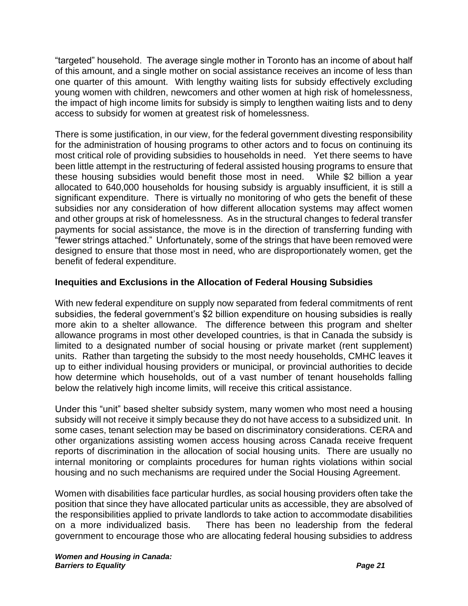"targeted" household. The average single mother in Toronto has an income of about half of this amount, and a single mother on social assistance receives an income of less than one quarter of this amount. With lengthy waiting lists for subsidy effectively excluding young women with children, newcomers and other women at high risk of homelessness, the impact of high income limits for subsidy is simply to lengthen waiting lists and to deny access to subsidy for women at greatest risk of homelessness.

There is some justification, in our view, for the federal government divesting responsibility for the administration of housing programs to other actors and to focus on continuing its most critical role of providing subsidies to households in need. Yet there seems to have been little attempt in the restructuring of federal assisted housing programs to ensure that these housing subsidies would benefit those most in need. While \$2 billion a year allocated to 640,000 households for housing subsidy is arguably insufficient, it is still a significant expenditure. There is virtually no monitoring of who gets the benefit of these subsidies nor any consideration of how different allocation systems may affect women and other groups at risk of homelessness. As in the structural changes to federal transfer payments for social assistance, the move is in the direction of transferring funding with "fewer strings attached." Unfortunately, some of the strings that have been removed were designed to ensure that those most in need, who are disproportionately women, get the benefit of federal expenditure.

#### **Inequities and Exclusions in the Allocation of Federal Housing Subsidies**

With new federal expenditure on supply now separated from federal commitments of rent subsidies, the federal government's \$2 billion expenditure on housing subsidies is really more akin to a shelter allowance. The difference between this program and shelter allowance programs in most other developed countries, is that in Canada the subsidy is limited to a designated number of social housing or private market (rent supplement) units. Rather than targeting the subsidy to the most needy households, CMHC leaves it up to either individual housing providers or municipal, or provincial authorities to decide how determine which households, out of a vast number of tenant households falling below the relatively high income limits, will receive this critical assistance.

Under this "unit" based shelter subsidy system, many women who most need a housing subsidy will not receive it simply because they do not have access to a subsidized unit. In some cases, tenant selection may be based on discriminatory considerations. CERA and other organizations assisting women access housing across Canada receive frequent reports of discrimination in the allocation of social housing units. There are usually no internal monitoring or complaints procedures for human rights violations within social housing and no such mechanisms are required under the Social Housing Agreement.

Women with disabilities face particular hurdles, as social housing providers often take the position that since they have allocated particular units as accessible, they are absolved of the responsibilities applied to private landlords to take action to accommodate disabilities on a more individualized basis. There has been no leadership from the federal government to encourage those who are allocating federal housing subsidies to address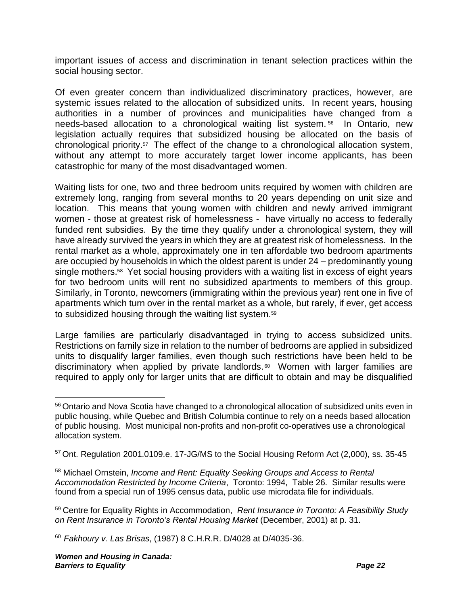important issues of access and discrimination in tenant selection practices within the social housing sector.

Of even greater concern than individualized discriminatory practices, however, are systemic issues related to the allocation of subsidized units. In recent years, housing authorities in a number of provinces and municipalities have changed from a needs-based allocation to a chronological waiting list system. <sup>56</sup> In Ontario, new legislation actually requires that subsidized housing be allocated on the basis of chronological priority.<sup>57</sup> The effect of the change to a chronological allocation system, without any attempt to more accurately target lower income applicants, has been catastrophic for many of the most disadvantaged women.

Waiting lists for one, two and three bedroom units required by women with children are extremely long, ranging from several months to 20 years depending on unit size and location. This means that young women with children and newly arrived immigrant women - those at greatest risk of homelessness - have virtually no access to federally funded rent subsidies. By the time they qualify under a chronological system, they will have already survived the years in which they are at greatest risk of homelessness. In the rental market as a whole, approximately one in ten affordable two bedroom apartments are occupied by households in which the oldest parent is under 24 – predominantly young single mothers.<sup>58</sup> Yet social housing providers with a waiting list in excess of eight years for two bedroom units will rent no subsidized apartments to members of this group. Similarly, in Toronto, newcomers (immigrating within the previous year) rent one in five of apartments which turn over in the rental market as a whole, but rarely, if ever, get access to subsidized housing through the waiting list system.<sup>59</sup>

Large families are particularly disadvantaged in trying to access subsidized units. Restrictions on family size in relation to the number of bedrooms are applied in subsidized units to disqualify larger families, even though such restrictions have been held to be discriminatory when applied by private landlords. <sup>60</sup> Women with larger families are required to apply only for larger units that are difficult to obtain and may be disqualified

<sup>56</sup> Ontario and Nova Scotia have changed to a chronological allocation of subsidized units even in public housing, while Quebec and British Columbia continue to rely on a needs based allocation of public housing. Most municipal non-profits and non-profit co-operatives use a chronological allocation system.

<sup>57</sup> Ont. Regulation 2001.0109.e. 17-JG/MS to the Social Housing Reform Act (2,000), ss. 35-45

<sup>58</sup> Michael Ornstein, *Income and Rent: Equality Seeking Groups and Access to Rental Accommodation Restricted by Income Criteria*, Toronto: 1994, Table 26. Similar results were found from a special run of 1995 census data, public use microdata file for individuals.

<sup>59</sup> Centre for Equality Rights in Accommodation, *Rent Insurance in Toronto: A Feasibility Study on Rent Insurance in Toronto's Rental Housing Market* (December, 2001) at p. 31.

<sup>60</sup> *Fakhoury v. Las Brisas*, (1987) 8 C.H.R.R. D/4028 at D/4035-36.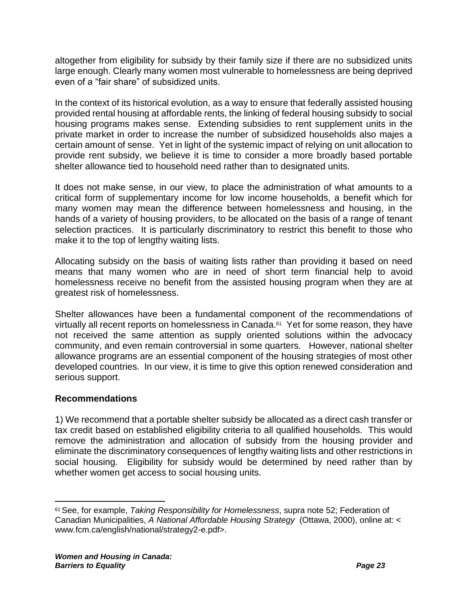altogether from eligibility for subsidy by their family size if there are no subsidized units large enough. Clearly many women most vulnerable to homelessness are being deprived even of a "fair share" of subsidized units.

In the context of its historical evolution, as a way to ensure that federally assisted housing provided rental housing at affordable rents, the linking of federal housing subsidy to social housing programs makes sense. Extending subsidies to rent supplement units in the private market in order to increase the number of subsidized households also majes a certain amount of sense. Yet in light of the systemic impact of relying on unit allocation to provide rent subsidy, we believe it is time to consider a more broadly based portable shelter allowance tied to household need rather than to designated units.

It does not make sense, in our view, to place the administration of what amounts to a critical form of supplementary income for low income households, a benefit which for many women may mean the difference between homelessness and housing, in the hands of a variety of housing providers, to be allocated on the basis of a range of tenant selection practices. It is particularly discriminatory to restrict this benefit to those who make it to the top of lengthy waiting lists.

Allocating subsidy on the basis of waiting lists rather than providing it based on need means that many women who are in need of short term financial help to avoid homelessness receive no benefit from the assisted housing program when they are at greatest risk of homelessness.

Shelter allowances have been a fundamental component of the recommendations of virtually all recent reports on homelessness in Canada.<sup>61</sup> Yet for some reason, they have not received the same attention as supply oriented solutions within the advocacy community, and even remain controversial in some quarters. However, national shelter allowance programs are an essential component of the housing strategies of most other developed countries. In our view, it is time to give this option renewed consideration and serious support.

#### **Recommendations**

1) We recommend that a portable shelter subsidy be allocated as a direct cash transfer or tax credit based on established eligibility criteria to all qualified households. This would remove the administration and allocation of subsidy from the housing provider and eliminate the discriminatory consequences of lengthy waiting lists and other restrictions in social housing. Eligibility for subsidy would be determined by need rather than by whether women get access to social housing units.

<sup>61</sup>See, for example, *Taking Responsibility for Homelessness*, supra note [52;](#page-21-0) Federation of Canadian Municipalities, *A National Affordable Housing Strategy* (Ottawa, 2000), online at: < www.fcm.ca/english/national/strategy2-e.pdf>.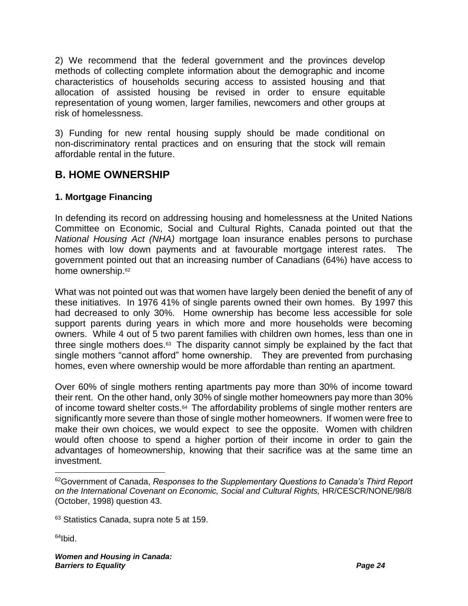2) We recommend that the federal government and the provinces develop methods of collecting complete information about the demographic and income characteristics of households securing access to assisted housing and that allocation of assisted housing be revised in order to ensure equitable representation of young women, larger families, newcomers and other groups at risk of homelessness.

3) Funding for new rental housing supply should be made conditional on non-discriminatory rental practices and on ensuring that the stock will remain affordable rental in the future.

### **B. HOME OWNERSHIP**

#### **1. Mortgage Financing**

In defending its record on addressing housing and homelessness at the United Nations Committee on Economic, Social and Cultural Rights, Canada pointed out that the *National Housing Act (NHA)* mortgage loan insurance enables persons to purchase homes with low down payments and at favourable mortgage interest rates. The government pointed out that an increasing number of Canadians (64%) have access to home ownership.<sup>62</sup>

What was not pointed out was that women have largely been denied the benefit of any of these initiatives. In 1976 41% of single parents owned their own homes. By 1997 this had decreased to only 30%. Home ownership has become less accessible for sole support parents during years in which more and more households were becoming owners. While 4 out of 5 two parent families with children own homes, less than one in three single mothers does.<sup>63</sup> The disparity cannot simply be explained by the fact that single mothers "cannot afford" home ownership. They are prevented from purchasing homes, even where ownership would be more affordable than renting an apartment.

Over 60% of single mothers renting apartments pay more than 30% of income toward their rent. On the other hand, only 30% of single mother homeowners pay more than 30% of income toward shelter costs.<sup>64</sup> The affordability problems of single mother renters are significantly more severe than those of single mother homeowners. If women were free to make their own choices, we would expect to see the opposite. Women with children would often choose to spend a higher portion of their income in order to gain the advantages of homeownership, knowing that their sacrifice was at the same time an investment.

 $64$ Ibid.

<sup>62</sup>Government of Canada, *Responses to the Supplementary Questions to Canada's Third Report on the International Covenant on Economic, Social and Cultural Rights,* HR/CESCR/NONE/98/8 (October, 1998) question 43.

<sup>63</sup> Statistics Canada, supra note [5](#page-4-0) at 159.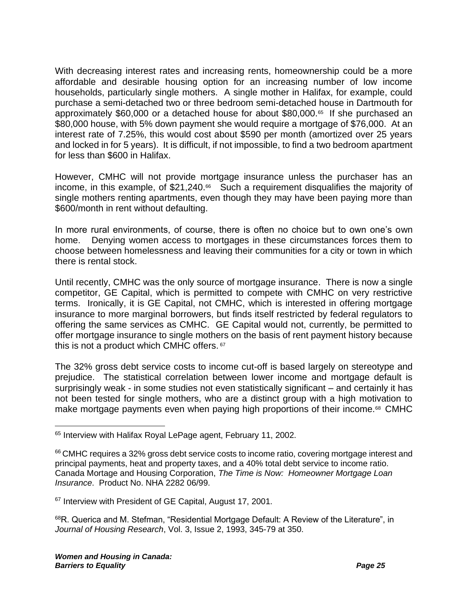With decreasing interest rates and increasing rents, homeownership could be a more affordable and desirable housing option for an increasing number of low income households, particularly single mothers. A single mother in Halifax, for example, could purchase a semi-detached two or three bedroom semi-detached house in Dartmouth for approximately \$60,000 or a detached house for about \$80,000.<sup>65</sup> If she purchased an \$80,000 house, with 5% down payment she would require a mortgage of \$76,000. At an interest rate of 7.25%, this would cost about \$590 per month (amortized over 25 years and locked in for 5 years). It is difficult, if not impossible, to find a two bedroom apartment for less than \$600 in Halifax.

However, CMHC will not provide mortgage insurance unless the purchaser has an income, in this example, of \$21,240.<sup>66</sup> Such a requirement disqualifies the majority of single mothers renting apartments, even though they may have been paying more than \$600/month in rent without defaulting.

In more rural environments, of course, there is often no choice but to own one's own home. Denying women access to mortgages in these circumstances forces them to choose between homelessness and leaving their communities for a city or town in which there is rental stock.

Until recently, CMHC was the only source of mortgage insurance. There is now a single competitor, GE Capital, which is permitted to compete with CMHC on very restrictive terms. Ironically, it is GE Capital, not CMHC, which is interested in offering mortgage insurance to more marginal borrowers, but finds itself restricted by federal regulators to offering the same services as CMHC. GE Capital would not, currently, be permitted to offer mortgage insurance to single mothers on the basis of rent payment history because this is not a product which CMHC offers. <sup>67</sup>

The 32% gross debt service costs to income cut-off is based largely on stereotype and prejudice. The statistical correlation between lower income and mortgage default is surprisingly weak - in some studies not even statistically significant – and certainly it has not been tested for single mothers, who are a distinct group with a high motivation to make mortgage payments even when paying high proportions of their income.<sup>68</sup> CMHC

<sup>&</sup>lt;sup>65</sup> Interview with Halifax Royal LePage agent, February 11, 2002.

<sup>&</sup>lt;sup>66</sup> CMHC requires a 32% gross debt service costs to income ratio, covering mortgage interest and principal payments, heat and property taxes, and a 40% total debt service to income ratio. Canada Mortage and Housing Corporation, *The Time is Now: Homeowner Mortgage Loan Insurance*. Product No. NHA 2282 06/99.

<sup>&</sup>lt;sup>67</sup> Interview with President of GE Capital, August 17, 2001.

 $68R$ . Querica and M. Stefman, "Residential Mortgage Default: A Review of the Literature", in *Journal of Housing Research*, Vol. 3, Issue 2, 1993, 345-79 at 350.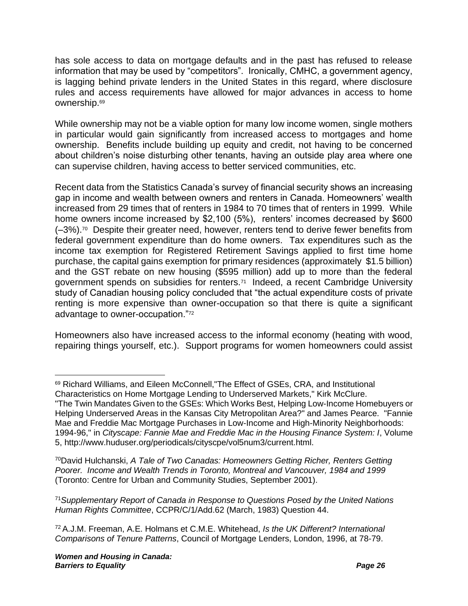has sole access to data on mortgage defaults and in the past has refused to release information that may be used by "competitors". Ironically, CMHC, a government agency, is lagging behind private lenders in the United States in this regard, where disclosure rules and access requirements have allowed for major advances in access to home ownership.<sup>69</sup>

While ownership may not be a viable option for many low income women, single mothers in particular would gain significantly from increased access to mortgages and home ownership. Benefits include building up equity and credit, not having to be concerned about children's noise disturbing other tenants, having an outside play area where one can supervise children, having access to better serviced communities, etc.

Recent data from the Statistics Canada's survey of financial security shows an increasing gap in income and wealth between owners and renters in Canada. Homeowners' wealth increased from 29 times that of renters in 1984 to 70 times that of renters in 1999. While home owners income increased by \$2,100 (5%), renters' incomes decreased by \$600 (–3%).<sup>70</sup> Despite their greater need, however, renters tend to derive fewer benefits from federal government expenditure than do home owners. Tax expenditures such as the income tax exemption for Registered Retirement Savings applied to first time home purchase, the capital gains exemption for primary residences (approximately \$1.5 billion) and the GST rebate on new housing (\$595 million) add up to more than the federal government spends on subsidies for renters.<sup>71</sup> Indeed, a recent Cambridge University study of Canadian housing policy concluded that "the actual expenditure costs of private renting is more expensive than owner-occupation so that there is quite a significant advantage to owner-occupation."<sup>72</sup>

Homeowners also have increased access to the informal economy (heating with wood, repairing things yourself, etc.). Support programs for women homeowners could assist

<sup>70</sup>David Hulchanski, *A Tale of Two Canadas: Homeowners Getting Richer, Renters Getting Poorer. Income and Wealth Trends in Toronto, Montreal and Vancouver, 1984 and 1999* (Toronto: Centre for Urban and Community Studies, September 2001).

<sup>71</sup>*Supplementary Report of Canada in Response to Questions Posed by the United Nations Human Rights Committee*, CCPR/C/1/Add.62 (March, 1983) Question 44.

<sup>72</sup> A.J.M. Freeman, A.E. Holmans et C.M.E. Whitehead, *Is the UK Different? International Comparisons of Tenure Patterns*, Council of Mortgage Lenders, London, 1996, at 78-79.

<sup>69</sup> Richard Williams, and Eileen McConnell,"The Effect of GSEs, CRA, and Institutional Characteristics on Home Mortgage Lending to Underserved Markets," Kirk McClure. "The Twin Mandates Given to the GSEs: Which Works Best, Helping Low-Income Homebuyers or Helping Underserved Areas in the Kansas City Metropolitan Area?" and James Pearce. "Fannie Mae and Freddie Mac Mortgage Purchases in Low-Income and High-Minority Neighborhoods:

<sup>1994-96,&</sup>quot; in *Cityscape: Fannie Mae and Freddie Mac in the Housing Finance System: I*, Volume 5, http://www.huduser.org/periodicals/cityscpe/vol5num3/current.html.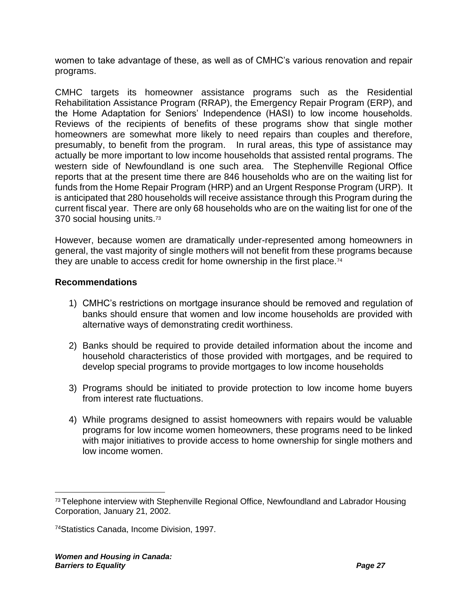women to take advantage of these, as well as of CMHC's various renovation and repair programs.

CMHC targets its homeowner assistance programs such as the Residential Rehabilitation Assistance Program (RRAP), the Emergency Repair Program (ERP), and the Home Adaptation for Seniors' Independence (HASI) to low income households. Reviews of the recipients of benefits of these programs show that single mother homeowners are somewhat more likely to need repairs than couples and therefore, presumably, to benefit from the program. In rural areas, this type of assistance may actually be more important to low income households that assisted rental programs. The western side of Newfoundland is one such area. The Stephenville Regional Office reports that at the present time there are 846 households who are on the waiting list for funds from the Home Repair Program (HRP) and an Urgent Response Program (URP). It is anticipated that 280 households will receive assistance through this Program during the current fiscal year. There are only 68 households who are on the waiting list for one of the 370 social housing units.<sup>73</sup>

However, because women are dramatically under-represented among homeowners in general, the vast majority of single mothers will not benefit from these programs because they are unable to access credit for home ownership in the first place.<sup>74</sup>

#### **Recommendations**

- 1) CMHC's restrictions on mortgage insurance should be removed and regulation of banks should ensure that women and low income households are provided with alternative ways of demonstrating credit worthiness.
- 2) Banks should be required to provide detailed information about the income and household characteristics of those provided with mortgages, and be required to develop special programs to provide mortgages to low income households
- 3) Programs should be initiated to provide protection to low income home buyers from interest rate fluctuations.
- 4) While programs designed to assist homeowners with repairs would be valuable programs for low income women homeowners, these programs need to be linked with major initiatives to provide access to home ownership for single mothers and low income women.

<sup>&</sup>lt;sup>73</sup> Telephone interview with Stephenville Regional Office, Newfoundland and Labrador Housing Corporation, January 21, 2002.

<sup>74</sup>Statistics Canada, Income Division, 1997.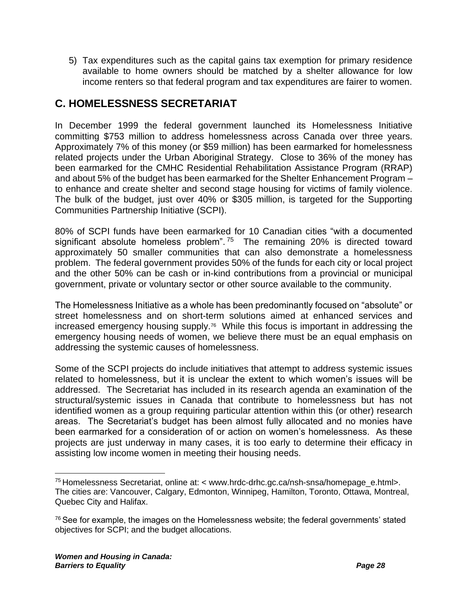5) Tax expenditures such as the capital gains tax exemption for primary residence available to home owners should be matched by a shelter allowance for low income renters so that federal program and tax expenditures are fairer to women.

# **C. HOMELESSNESS SECRETARIAT**

In December 1999 the federal government launched its Homelessness Initiative committing \$753 million to address homelessness across Canada over three years. Approximately 7% of this money (or \$59 million) has been earmarked for homelessness related projects under the Urban Aboriginal Strategy. Close to 36% of the money has been earmarked for the CMHC Residential Rehabilitation Assistance Program (RRAP) and about 5% of the budget has been earmarked for the Shelter Enhancement Program – to enhance and create shelter and second stage housing for victims of family violence. The bulk of the budget, just over 40% or \$305 million, is targeted for the Supporting Communities Partnership Initiative (SCPI).

80% of SCPI funds have been earmarked for 10 Canadian cities "with a documented significant absolute homeless problem".<sup>75</sup> The remaining 20% is directed toward approximately 50 smaller communities that can also demonstrate a homelessness problem. The federal government provides 50% of the funds for each city or local project and the other 50% can be cash or in-kind contributions from a provincial or municipal government, private or voluntary sector or other source available to the community.

The Homelessness Initiative as a whole has been predominantly focused on "absolute" or street homelessness and on short-term solutions aimed at enhanced services and increased emergency housing supply.<sup>76</sup> While this focus is important in addressing the emergency housing needs of women, we believe there must be an equal emphasis on addressing the systemic causes of homelessness.

Some of the SCPI projects do include initiatives that attempt to address systemic issues related to homelessness, but it is unclear the extent to which women's issues will be addressed. The Secretariat has included in its research agenda an examination of the structural/systemic issues in Canada that contribute to homelessness but has not identified women as a group requiring particular attention within this (or other) research areas. The Secretariat's budget has been almost fully allocated and no monies have been earmarked for a consideration of or action on women's homelessness. As these projects are just underway in many cases, it is too early to determine their efficacy in assisting low income women in meeting their housing needs.

<sup>75</sup> Homelessness Secretariat, online at: < www.hrdc-drhc.gc.ca/nsh-snsa/homepage\_e.html>. The cities are: Vancouver, Calgary, Edmonton, Winnipeg, Hamilton, Toronto, Ottawa, Montreal, Quebec City and Halifax.

 $76$  See for example, the images on the Homelessness website; the federal governments' stated objectives for SCPI; and the budget allocations.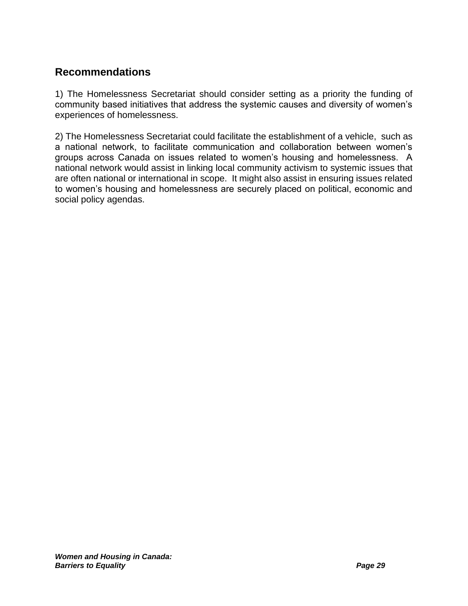## **Recommendations**

1) The Homelessness Secretariat should consider setting as a priority the funding of community based initiatives that address the systemic causes and diversity of women's experiences of homelessness.

2) The Homelessness Secretariat could facilitate the establishment of a vehicle, such as a national network, to facilitate communication and collaboration between women's groups across Canada on issues related to women's housing and homelessness. A national network would assist in linking local community activism to systemic issues that are often national or international in scope. It might also assist in ensuring issues related to women's housing and homelessness are securely placed on political, economic and social policy agendas.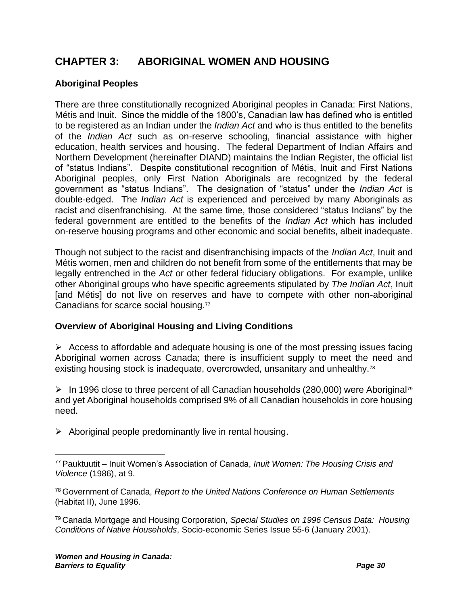# **CHAPTER 3: ABORIGINAL WOMEN AND HOUSING**

#### **Aboriginal Peoples**

There are three constitutionally recognized Aboriginal peoples in Canada: First Nations, Métis and Inuit.Since the middle of the 1800's, Canadian law has defined who is entitled to be registered as an Indian under the *Indian Act* and who is thus entitled to the benefits of the *Indian Act* such as on-reserve schooling, financial assistance with higher education, health services and housing. The federal Department of Indian Affairs and Northern Development (hereinafter DIAND) maintains the Indian Register, the official list of "status Indians". Despite constitutional recognition of Métis, Inuit and First Nations Aboriginal peoples, only First Nation Aboriginals are recognized by the federal government as "status Indians". The designation of "status" under the *Indian Act* is double-edged. The *Indian Act* is experienced and perceived by many Aboriginals as racist and disenfranchising. At the same time, those considered "status Indians" by the federal government are entitled to the benefits of the *Indian Act* which has included on-reserve housing programs and other economic and social benefits, albeit inadequate.

Though not subject to the racist and disenfranchising impacts of the *Indian Act*, Inuit and Métis women, men and children do not benefit from some of the entitlements that may be legally entrenched in the *Act* or other federal fiduciary obligations. For example, unlike other Aboriginal groups who have specific agreements stipulated by *The Indian Act*, Inuit [and Métis] do not live on reserves and have to compete with other non-aboriginal Canadians for scarce social housing.<sup>77</sup>

#### <span id="page-33-0"></span>**Overview of Aboriginal Housing and Living Conditions**

 $\triangleright$  Access to affordable and adequate housing is one of the most pressing issues facing Aboriginal women across Canada; there is insufficient supply to meet the need and existing housing stock is inadequate, overcrowded, unsanitary and unhealthy.<sup>78</sup>

 $\triangleright$  In 1996 close to three percent of all Canadian households (280,000) were Aboriginal<sup>79</sup> and yet Aboriginal households comprised 9% of all Canadian households in core housing need.

 $\triangleright$  Aboriginal people predominantly live in rental housing.

<sup>77</sup> Pauktuutit – Inuit Women's Association of Canada, *Inuit Women: The Housing Crisis and Violence* (1986), at 9.

<sup>78</sup> Government of Canada, *Report to the United Nations Conference on Human Settlements* (Habitat II), June 1996.

<sup>79</sup> Canada Mortgage and Housing Corporation, *Special Studies on 1996 Census Data: Housing Conditions of Native Households*, Socio-economic Series Issue 55-6 (January 2001).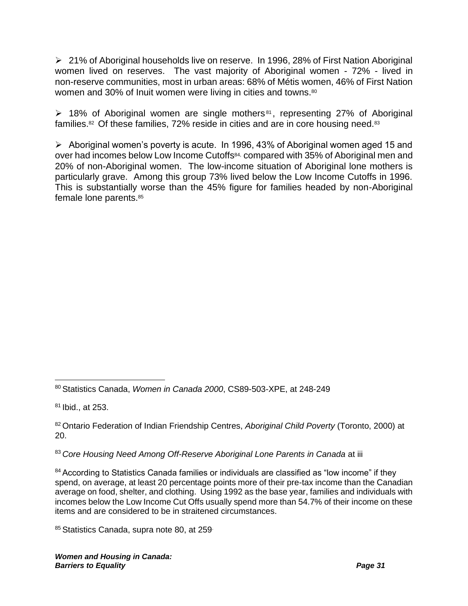➢ 21% of Aboriginal households live on reserve. In 1996, 28% of First Nation Aboriginal women lived on reserves. The vast majority of Aboriginal women - 72% - lived in non-reserve communities, most in urban areas: 68% of Métis women, 46% of First Nation women and 30% of Inuit women were living in cities and towns.<sup>80</sup>

<span id="page-34-0"></span>➢ 18% of Aboriginal women are single mothers <sup>81</sup> , representing 27% of Aboriginal families.<sup>82</sup> Of these families, 72% reside in cities and are in core housing need.<sup>83</sup>

➢ Aboriginal women's poverty is acute. In 1996, 43% of Aboriginal women aged 15 and over had incomes below Low Income Cutoffs84, compared with 35% of Aboriginal men and 20% of non-Aboriginal women. The low-income situation of Aboriginal lone mothers is particularly grave. Among this group 73% lived below the Low Income Cutoffs in 1996. This is substantially worse than the 45% figure for families headed by non-Aboriginal female lone parents.<sup>85</sup>

<sup>81</sup> Ibid., at 253.

83 Core Housing Need Among Off-Reserve Aboriginal Lone Parents in Canada at iii

<sup>84</sup> According to Statistics Canada families or individuals are classified as "low income" if they spend, on average, at least 20 percentage points more of their pre-tax income than the Canadian average on food, shelter, and clothing. Using 1992 as the base year, families and individuals with incomes below the Low Income Cut Offs usually spend more than 54.7% of their income on these items and are considered to be in straitened circumstances.

85 Statistics Canada, supra note [80,](#page-34-0) at 259

<sup>80</sup> Statistics Canada, *Women in Canada 2000*, CS89-503-XPE, at 248-249

<sup>82</sup> Ontario Federation of Indian Friendship Centres, *Aboriginal Child Poverty* (Toronto, 2000) at 20.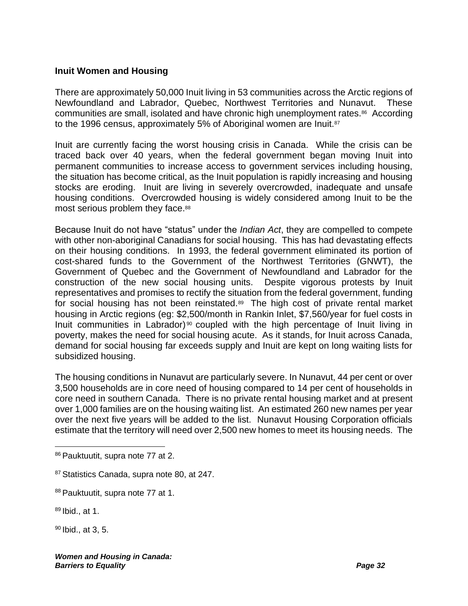#### **Inuit Women and Housing**

There are approximately 50,000 Inuit living in 53 communities across the Arctic regions of Newfoundland and Labrador, Quebec, Northwest Territories and Nunavut. These communities are small, isolated and have chronic high unemployment rates.<sup>86</sup> According to the 1996 census, approximately 5% of Aboriginal women are Inuit.<sup>87</sup>

Inuit are currently facing the worst housing crisis in Canada. While the crisis can be traced back over 40 years, when the federal government began moving Inuit into permanent communities to increase access to government services including housing, the situation has become critical, as the Inuit population is rapidly increasing and housing stocks are eroding. Inuit are living in severely overcrowded, inadequate and unsafe housing conditions. Overcrowded housing is widely considered among Inuit to be the most serious problem they face.<sup>88</sup>

Because Inuit do not have "status" under the *Indian Act*, they are compelled to compete with other non-aboriginal Canadians for social housing. This has had devastating effects on their housing conditions. In 1993, the federal government eliminated its portion of cost-shared funds to the Government of the Northwest Territories (GNWT), the Government of Quebec and the Government of Newfoundland and Labrador for the construction of the new social housing units. Despite vigorous protests by Inuit representatives and promises to rectify the situation from the federal government, funding for social housing has not been reinstated.<sup>89</sup> The high cost of private rental market housing in Arctic regions (eg: \$2,500/month in Rankin Inlet, \$7,560/year for fuel costs in Inuit communities in Labrador)<sup>90</sup> coupled with the high percentage of Inuit living in poverty, makes the need for social housing acute. As it stands, for Inuit across Canada, demand for social housing far exceeds supply and Inuit are kept on long waiting lists for subsidized housing.

The housing conditions in Nunavut are particularly severe. In Nunavut, 44 per cent or over 3,500 households are in core need of housing compared to 14 per cent of households in core need in southern Canada. There is no private rental housing market and at present over 1,000 families are on the housing waiting list. An estimated 260 new names per year over the next five years will be added to the list. Nunavut Housing Corporation officials estimate that the territory will need over 2,500 new homes to meet its housing needs. The

<sup>90</sup> Ibid., at 3, 5.

<sup>86</sup> Pauktuutit, supra note [77](#page-33-0) at 2.

<sup>&</sup>lt;sup>87</sup> Statistics Canada, supra note [80,](#page-34-0) at 247.

<sup>88</sup> Pauktuutit, supra note [77](#page-33-0) at 1.

 $89$  Ibid., at 1.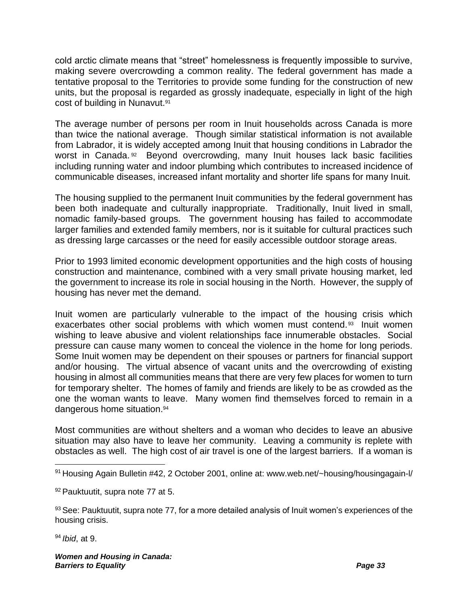cold arctic climate means that "street" homelessness is frequently impossible to survive, making severe overcrowding a common reality. The federal government has made a tentative proposal to the Territories to provide some funding for the construction of new units, but the proposal is regarded as grossly inadequate, especially in light of the high cost of building in Nunavut.<sup>91</sup>

The average number of persons per room in Inuit households across Canada is more than twice the national average. Though similar statistical information is not available from Labrador, it is widely accepted among Inuit that housing conditions in Labrador the worst in Canada.<sup>92</sup> Beyond overcrowding, many Inuit houses lack basic facilities including running water and indoor plumbing which contributes to increased incidence of communicable diseases, increased infant mortality and shorter life spans for many Inuit.

The housing supplied to the permanent Inuit communities by the federal government has been both inadequate and culturally inappropriate. Traditionally, Inuit lived in small, nomadic family-based groups. The government housing has failed to accommodate larger families and extended family members, nor is it suitable for cultural practices such as dressing large carcasses or the need for easily accessible outdoor storage areas.

Prior to 1993 limited economic development opportunities and the high costs of housing construction and maintenance, combined with a very small private housing market, led the government to increase its role in social housing in the North. However, the supply of housing has never met the demand.

Inuit women are particularly vulnerable to the impact of the housing crisis which exacerbates other social problems with which women must contend.<sup>93</sup> Inuit women wishing to leave abusive and violent relationships face innumerable obstacles. Social pressure can cause many women to conceal the violence in the home for long periods. Some Inuit women may be dependent on their spouses or partners for financial support and/or housing. The virtual absence of vacant units and the overcrowding of existing housing in almost all communities means that there are very few places for women to turn for temporary shelter. The homes of family and friends are likely to be as crowded as the one the woman wants to leave. Many women find themselves forced to remain in a dangerous home situation.<sup>94</sup>

Most communities are without shelters and a woman who decides to leave an abusive situation may also have to leave her community. Leaving a community is replete with obstacles as well. The high cost of air travel is one of the largest barriers. If a woman is

<sup>94</sup> *Ibid*, at 9.

<sup>91</sup> Housing Again Bulletin #42, 2 October 2001, online at: www.web.net/~housing/housingagain-l/

<sup>92</sup> Pauktuutit, supra note [77](#page-33-0) at 5.

<sup>93</sup> See: Pauktuutit, supra note [77,](#page-33-0) for a more detailed analysis of Inuit women's experiences of the housing crisis.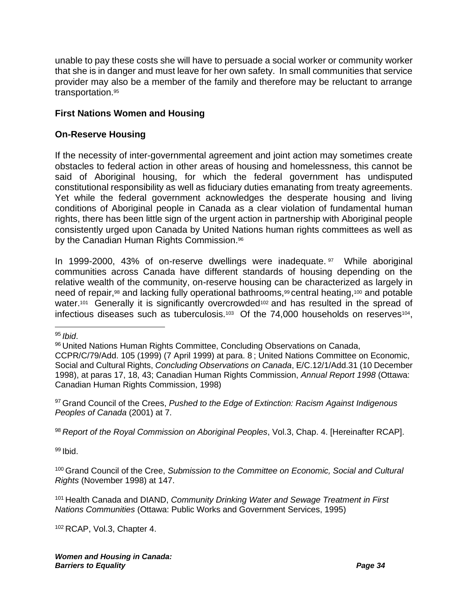unable to pay these costs she will have to persuade a social worker or community worker that she is in danger and must leave for her own safety. In small communities that service provider may also be a member of the family and therefore may be reluctant to arrange transportation.<sup>95</sup>

#### **First Nations Women and Housing**

#### **On-Reserve Housing**

If the necessity of inter-governmental agreement and joint action may sometimes create obstacles to federal action in other areas of housing and homelessness, this cannot be said of Aboriginal housing, for which the federal government has undisputed constitutional responsibility as well as fiduciary duties emanating from treaty agreements. Yet while the federal government acknowledges the desperate housing and living conditions of Aboriginal people in Canada as a clear violation of fundamental human rights, there has been little sign of the urgent action in partnership with Aboriginal people consistently urged upon Canada by United Nations human rights committees as well as by the Canadian Human Rights Commission.<sup>96</sup>

<span id="page-37-0"></span>In 1999-2000, 43% of on-reserve dwellings were inadequate. <sup>97</sup> While aboriginal communities across Canada have different standards of housing depending on the relative wealth of the community, on-reserve housing can be characterized as largely in need of repair,<sup>98</sup> and lacking fully operational bathrooms,<sup>99</sup> central heating,<sup>100</sup> and potable water.<sup>101</sup> Generally it is significantly overcrowded<sup>102</sup> and has resulted in the spread of infectious diseases such as tuberculosis.<sup>103</sup> Of the 74,000 households on reserves<sup>104</sup>,

<sup>97</sup> Grand Council of the Crees, *Pushed to the Edge of Extinction: Racism Against Indigenous Peoples of Canada* (2001) at 7.

<sup>98</sup> *Report of the Royal Commission on Aboriginal Peoples*, Vol.3, Chap. 4. [Hereinafter RCAP].

 $99$  Ibid.

<sup>100</sup> Grand Council of the Cree, *Submission to the Committee on Economic, Social and Cultural Rights* (November 1998) at 147.

<sup>101</sup> Health Canada and DIAND, *Community Drinking Water and Sewage Treatment in First Nations Communities* (Ottawa: Public Works and Government Services, 1995)

<sup>102</sup> RCAP, Vol.3, Chapter 4.

<sup>95</sup> *Ibid*.

<sup>96</sup> United Nations Human Rights Committee, Concluding Observations on Canada,

CCPR/C/79/Add. 105 (1999) (7 April 1999) at para. 8 ; United Nations Committee on Economic, Social and Cultural Rights, *Concluding Observations on Canada*, E/C.12/1/Add.31 (10 December 1998), at paras 17, 18, 43; Canadian Human Rights Commission, *Annual Report 1998* (Ottawa: Canadian Human Rights Commission, 1998)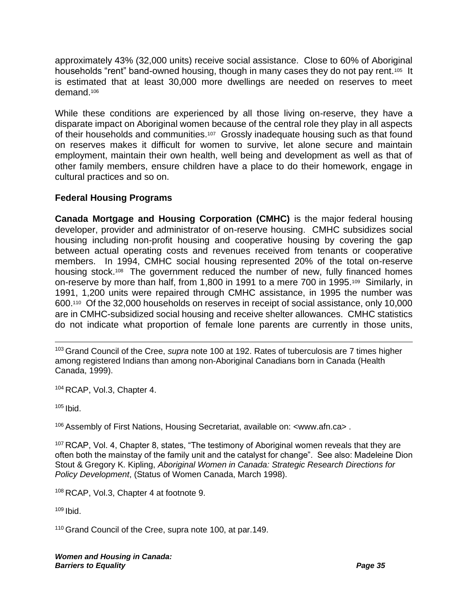approximately 43% (32,000 units) receive social assistance. Close to 60% of Aboriginal households "rent" band-owned housing, though in many cases they do not pay rent.<sup>105</sup> It is estimated that at least 30,000 more dwellings are needed on reserves to meet demand.<sup>106</sup>

While these conditions are experienced by all those living on-reserve, they have a disparate impact on Aboriginal women because of the central role they play in all aspects of their households and communities.<sup>107</sup> Grossly inadequate housing such as that found on reserves makes it difficult for women to survive, let alone secure and maintain employment, maintain their own health, well being and development as well as that of other family members, ensure children have a place to do their homework, engage in cultural practices and so on.

#### **Federal Housing Programs**

**Canada Mortgage and Housing Corporation (CMHC)** is the major federal housing developer, provider and administrator of on-reserve housing. CMHC subsidizes social housing including non-profit housing and cooperative housing by covering the gap between actual operating costs and revenues received from tenants or cooperative members. In 1994, CMHC social housing represented 20% of the total on-reserve housing stock.<sup>108</sup> The government reduced the number of new, fully financed homes on-reserve by more than half, from 1,800 in 1991 to a mere 700 in 1995.<sup>109</sup> Similarly, in 1991, 1,200 units were repaired through CMHC assistance, in 1995 the number was 600.<sup>110</sup> Of the 32,000 households on reserves in receipt of social assistance, only 10,000 are in CMHC-subsidized social housing and receive shelter allowances. CMHC statistics do not indicate what proportion of female lone parents are currently in those units,

<sup>103</sup> Grand Council of the Cree, *supra* note [100](#page-37-0) at 192. Rates of tuberculosis are 7 times higher among registered Indians than among non-Aboriginal Canadians born in Canada (Health Canada, 1999).

<sup>104</sup> RCAP, Vol.3, Chapter 4.

<sup>105</sup> Ibid.

<sup>106</sup> Assembly of First Nations, Housing Secretariat, available on: <www.afn.ca> .

<sup>107</sup> RCAP, Vol. 4, Chapter 8, states, "The testimony of Aboriginal women reveals that they are often both the mainstay of the family unit and the catalyst for change". See also: Madeleine Dion Stout & Gregory K. Kipling, *Aboriginal Women in Canada: Strategic Research Directions for Policy Development*, (Status of Women Canada, March 1998).

<sup>108</sup> RCAP, Vol.3, Chapter 4 at footnote 9.

 $109$  Ibid.

<sup>110</sup> Grand Council of the Cree, supra note [100,](#page-37-0) at par.149.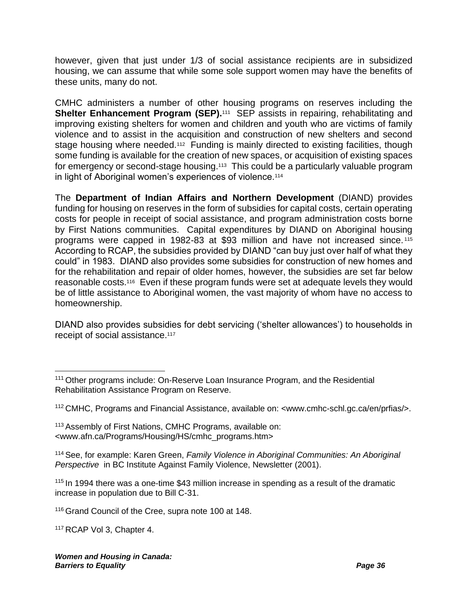however, given that just under 1/3 of social assistance recipients are in subsidized housing, we can assume that while some sole support women may have the benefits of these units, many do not.

CMHC administers a number of other housing programs on reserves including the **Shelter Enhancement Program (SEP).**<sup>111</sup> SEP assists in repairing, rehabilitating and improving existing shelters for women and children and youth who are victims of family violence and to assist in the acquisition and construction of new shelters and second stage housing where needed.<sup>112</sup> Funding is mainly directed to existing facilities, though some funding is available for the creation of new spaces, or acquisition of existing spaces for emergency or second-stage housing.<sup>113</sup> This could be a particularly valuable program in light of Aboriginal women's experiences of violence.<sup>114</sup>

The **Department of Indian Affairs and Northern Development** (DIAND) provides funding for housing on reserves in the form of subsidies for capital costs, certain operating costs for people in receipt of social assistance, and program administration costs borne by First Nations communities. Capital expenditures by DIAND on Aboriginal housing programs were capped in 1982-83 at \$93 million and have not increased since. <sup>115</sup> According to RCAP, the subsidies provided by DIAND "can buy just over half of what they could" in 1983. DIAND also provides some subsidies for construction of new homes and for the rehabilitation and repair of older homes, however, the subsidies are set far below reasonable costs.<sup>116</sup> Even if these program funds were set at adequate levels they would be of little assistance to Aboriginal women, the vast majority of whom have no access to homeownership.

DIAND also provides subsidies for debt servicing ('shelter allowances') to households in receipt of social assistance.<sup>117</sup>

<sup>117</sup> RCAP Vol 3, Chapter 4.

<sup>&</sup>lt;sup>111</sup> Other programs include: On-Reserve Loan Insurance Program, and the Residential Rehabilitation Assistance Program on Reserve.

<sup>112</sup> CMHC, Programs and Financial Assistance, available on: <www.cmhc-schl.gc.ca/en/prfias/>.

<sup>&</sup>lt;sup>113</sup> Assembly of First Nations, CMHC Programs, available on: <www.afn.ca/Programs/Housing/HS/cmhc\_programs.htm>

<sup>114</sup> See, for example: Karen Green, *Family Violence in Aboriginal Communities: An Aboriginal Perspective* in BC Institute Against Family Violence, Newsletter (2001).

<sup>&</sup>lt;sup>115</sup> In 1994 there was a one-time \$43 million increase in spending as a result of the dramatic increase in population due to Bill C-31.

<sup>116</sup> Grand Council of the Cree, supra note [100](#page-37-0) at 148.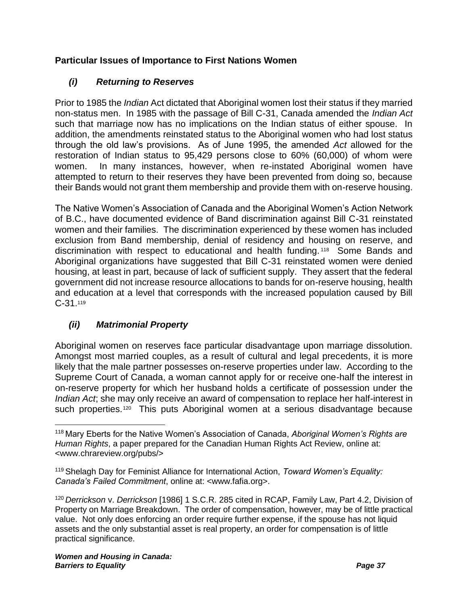#### **Particular Issues of Importance to First Nations Women**

#### *(i) Returning to Reserves*

Prior to 1985 the *Indian* Act dictated that Aboriginal women lost their status if they married non-status men. In 1985 with the passage of Bill C-31, Canada amended the *Indian Act* such that marriage now has no implications on the Indian status of either spouse. In addition, the amendments reinstated status to the Aboriginal women who had lost status through the old law's provisions. As of June 1995, the amended *Act* allowed for the restoration of Indian status to 95,429 persons close to 60% (60,000) of whom were women. In many instances, however, when re-instated Aboriginal women have attempted to return to their reserves they have been prevented from doing so, because their Bands would not grant them membership and provide them with on-reserve housing.

The Native Women's Association of Canada and the Aboriginal Women's Action Network of B.C., have documented evidence of Band discrimination against Bill C-31 reinstated women and their families. The discrimination experienced by these women has included exclusion from Band membership, denial of residency and housing on reserve, and discrimination with respect to educational and health funding. <sup>118</sup> Some Bands and Aboriginal organizations have suggested that Bill C-31 reinstated women were denied housing, at least in part, because of lack of sufficient supply. They assert that the federal government did not increase resource allocations to bands for on-reserve housing, health and education at a level that corresponds with the increased population caused by Bill  $C-31.119$ 

#### <span id="page-40-0"></span>*(ii) Matrimonial Property*

Aboriginal women on reserves face particular disadvantage upon marriage dissolution. Amongst most married couples, as a result of cultural and legal precedents, it is more likely that the male partner possesses on-reserve properties under law. According to the Supreme Court of Canada, a woman cannot apply for or receive one-half the interest in on-reserve property for which her husband holds a certificate of possession under the *Indian Act*; she may only receive an award of compensation to replace her half-interest in such properties.<sup>120</sup> This puts Aboriginal women at a serious disadvantage because

<sup>118</sup> Mary Eberts for the Native Women's Association of Canada, *Aboriginal Women's Rights are Human Rights*, a paper prepared for the Canadian Human Rights Act Review, online at: <www.chrareview.org/pubs/>

<sup>119</sup> Shelagh Day for Feminist Alliance for International Action, *Toward Women's Equality: Canada's Failed Commitment*, online at: <www.fafia.org>.

<sup>120</sup> *Derrickson* v. *Derrickson* [1986] 1 S.C.R. 285 cited in RCAP, Family Law, Part 4.2, Division of Property on Marriage Breakdown. The order of compensation, however, may be of little practical value. Not only does enforcing an order require further expense, if the spouse has not liquid assets and the only substantial asset is real property, an order for compensation is of little practical significance.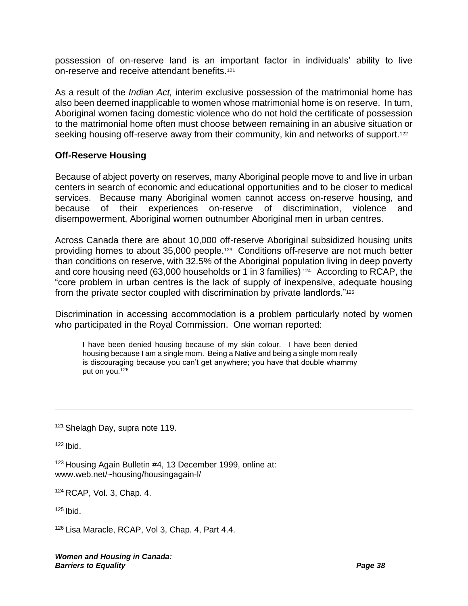possession of on-reserve land is an important factor in individuals' ability to live on-reserve and receive attendant benefits.<sup>121</sup>

As a result of the *Indian Act,* interim exclusive possession of the matrimonial home has also been deemed inapplicable to women whose matrimonial home is on reserve. In turn, Aboriginal women facing domestic violence who do not hold the certificate of possession to the matrimonial home often must choose between remaining in an abusive situation or seeking housing off-reserve away from their community, kin and networks of support.<sup>122</sup>

#### **Off-Reserve Housing**

Because of abject poverty on reserves, many Aboriginal people move to and live in urban centers in search of economic and educational opportunities and to be closer to medical services. Because many Aboriginal women cannot access on-reserve housing, and because of their experiences on-reserve of discrimination, violence and disempowerment, Aboriginal women outnumber Aboriginal men in urban centres.

Across Canada there are about 10,000 off-reserve Aboriginal subsidized housing units providing homes to about 35,000 people.<sup>123</sup> Conditions off-reserve are not much better than conditions on reserve, with 32.5% of the Aboriginal population living in deep poverty and core housing need (63,000 households or 1 in 3 families) 124. According to RCAP, the "core problem in urban centres is the lack of supply of inexpensive, adequate housing from the private sector coupled with discrimination by private landlords."<sup>125</sup>

Discrimination in accessing accommodation is a problem particularly noted by women who participated in the Royal Commission. One woman reported:

I have been denied housing because of my skin colour. I have been denied housing because I am a single mom. Being a Native and being a single mom really is discouraging because you can't get anywhere; you have that double whammy put on you.<sup>126</sup>

<sup>121</sup> Shelagh Day, supra note [119.](#page-40-0)

 $122$  Ibid.

<sup>123</sup> Housing Again Bulletin #4, 13 December 1999, online at: www.web.net/~housing/housingagain-l/

<sup>124</sup> RCAP, Vol. 3, Chap. 4.

 $125$  Ibid.

<sup>126</sup> Lisa Maracle, RCAP, Vol 3, Chap. 4, Part 4.4.

*Women and Housing in Canada: Barriers to Equality Page 38*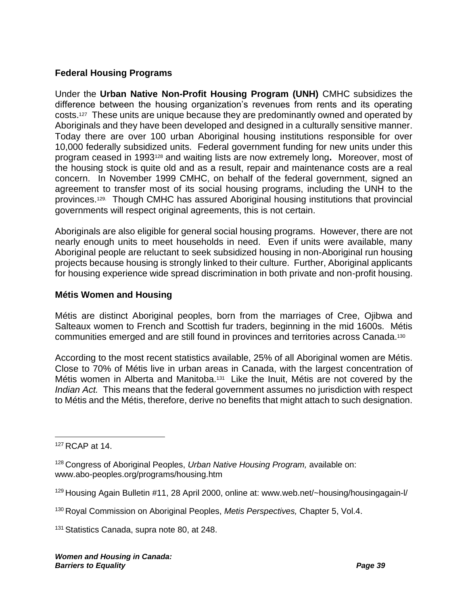#### **Federal Housing Programs**

Under the **Urban Native Non-Profit Housing Program (UNH)** CMHC subsidizes the difference between the housing organization's revenues from rents and its operating costs.<sup>127</sup> These units are unique because they are predominantly owned and operated by Aboriginals and they have been developed and designed in a culturally sensitive manner. Today there are over 100 urban Aboriginal housing institutions responsible for over 10,000 federally subsidized units. Federal government funding for new units under this program ceased in 1993<sup>128</sup> and waiting lists are now extremely long**.** Moreover, most of the housing stock is quite old and as a result, repair and maintenance costs are a real concern. In November 1999 CMHC, on behalf of the federal government, signed an agreement to transfer most of its social housing programs, including the UNH to the provinces.129. Though CMHC has assured Aboriginal housing institutions that provincial governments will respect original agreements, this is not certain.

Aboriginals are also eligible for general social housing programs. However, there are not nearly enough units to meet households in need. Even if units were available, many Aboriginal people are reluctant to seek subsidized housing in non-Aboriginal run housing projects because housing is strongly linked to their culture. Further, Aboriginal applicants for housing experience wide spread discrimination in both private and non-profit housing.

#### **Métis Women and Housing**

Métis are distinct Aboriginal peoples, born from the marriages of Cree, Ojibwa and Salteaux women to French and Scottish fur traders, beginning in the mid 1600s. Métis communities emerged and are still found in provinces and territories across Canada.<sup>130</sup>

According to the most recent statistics available, 25% of all Aboriginal women are Métis. Close to 70% of Métis live in urban areas in Canada, with the largest concentration of Métis women in Alberta and Manitoba.<sup>131</sup> Like the Inuit, Métis are not covered by the *Indian Act.* This means that the federal government assumes no jurisdiction with respect to Métis and the Métis, therefore, derive no benefits that might attach to such designation.

<sup>127</sup> RCAP at 14.

<sup>128</sup> Congress of Aboriginal Peoples, *Urban Native Housing Program,* available on: www.abo-peoples.org/programs/housing.htm

<sup>&</sup>lt;sup>129</sup> Housing Again Bulletin #11, 28 April 2000, online at: www.web.net/~housing/housingagain-l/

<sup>130</sup> Royal Commission on Aboriginal Peoples, *Metis Perspectives,* Chapter 5, Vol.4.

<sup>&</sup>lt;sup>131</sup> Statistics Canada, supra note [80,](#page-34-0) at 248.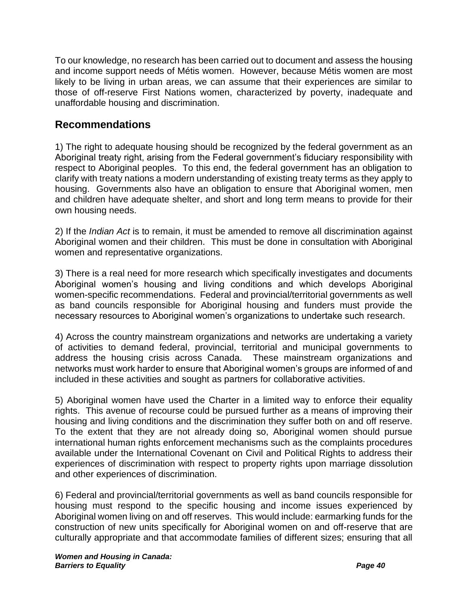To our knowledge, no research has been carried out to document and assess the housing and income support needs of Métis women. However, because Métis women are most likely to be living in urban areas, we can assume that their experiences are similar to those of off-reserve First Nations women, characterized by poverty, inadequate and unaffordable housing and discrimination.

## **Recommendations**

1) The right to adequate housing should be recognized by the federal government as an Aboriginal treaty right, arising from the Federal government's fiduciary responsibility with respect to Aboriginal peoples. To this end, the federal government has an obligation to clarify with treaty nations a modern understanding of existing treaty terms as they apply to housing. Governments also have an obligation to ensure that Aboriginal women, men and children have adequate shelter, and short and long term means to provide for their own housing needs.

2) If the *Indian Act* is to remain, it must be amended to remove all discrimination against Aboriginal women and their children. This must be done in consultation with Aboriginal women and representative organizations.

3) There is a real need for more research which specifically investigates and documents Aboriginal women's housing and living conditions and which develops Aboriginal women-specific recommendations. Federal and provincial/territorial governments as well as band councils responsible for Aboriginal housing and funders must provide the necessary resources to Aboriginal women's organizations to undertake such research.

4) Across the country mainstream organizations and networks are undertaking a variety of activities to demand federal, provincial, territorial and municipal governments to address the housing crisis across Canada. These mainstream organizations and networks must work harder to ensure that Aboriginal women's groups are informed of and included in these activities and sought as partners for collaborative activities.

5) Aboriginal women have used the Charter in a limited way to enforce their equality rights. This avenue of recourse could be pursued further as a means of improving their housing and living conditions and the discrimination they suffer both on and off reserve. To the extent that they are not already doing so, Aboriginal women should pursue international human rights enforcement mechanisms such as the complaints procedures available under the International Covenant on Civil and Political Rights to address their experiences of discrimination with respect to property rights upon marriage dissolution and other experiences of discrimination.

6) Federal and provincial/territorial governments as well as band councils responsible for housing must respond to the specific housing and income issues experienced by Aboriginal women living on and off reserves. This would include: earmarking funds for the construction of new units specifically for Aboriginal women on and off-reserve that are culturally appropriate and that accommodate families of different sizes; ensuring that all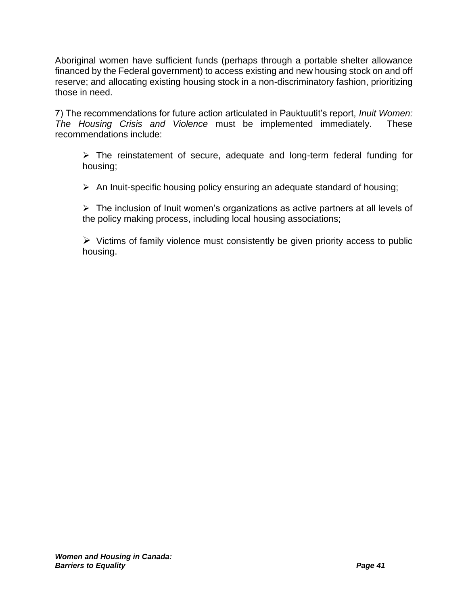Aboriginal women have sufficient funds (perhaps through a portable shelter allowance financed by the Federal government) to access existing and new housing stock on and off reserve; and allocating existing housing stock in a non-discriminatory fashion, prioritizing those in need.

7) The recommendations for future action articulated in Pauktuutit's report, *Inuit Women: The Housing Crisis and Violence* must be implemented immediately. These recommendations include:

➢ The reinstatement of secure, adequate and long-term federal funding for housing;

➢ An Inuit-specific housing policy ensuring an adequate standard of housing;

➢ The inclusion of Inuit women's organizations as active partners at all levels of the policy making process, including local housing associations;

 $\triangleright$  Victims of family violence must consistently be given priority access to public housing.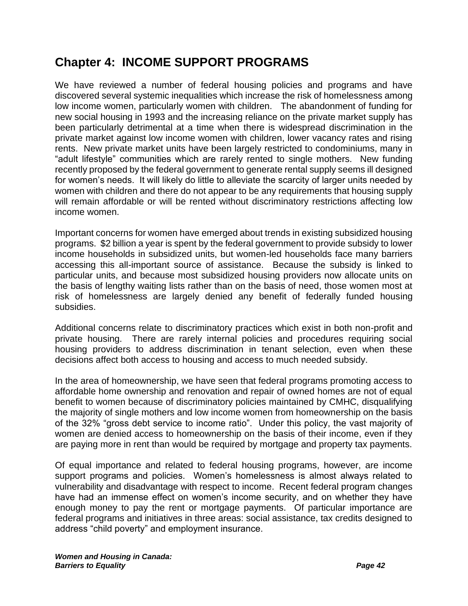# **Chapter 4: INCOME SUPPORT PROGRAMS**

We have reviewed a number of federal housing policies and programs and have discovered several systemic inequalities which increase the risk of homelessness among low income women, particularly women with children. The abandonment of funding for new social housing in 1993 and the increasing reliance on the private market supply has been particularly detrimental at a time when there is widespread discrimination in the private market against low income women with children, lower vacancy rates and rising rents. New private market units have been largely restricted to condominiums, many in "adult lifestyle" communities which are rarely rented to single mothers. New funding recently proposed by the federal government to generate rental supply seems ill designed for women's needs. It will likely do little to alleviate the scarcity of larger units needed by women with children and there do not appear to be any requirements that housing supply will remain affordable or will be rented without discriminatory restrictions affecting low income women.

Important concerns for women have emerged about trends in existing subsidized housing programs. \$2 billion a year is spent by the federal government to provide subsidy to lower income households in subsidized units, but women-led households face many barriers accessing this all-important source of assistance. Because the subsidy is linked to particular units, and because most subsidized housing providers now allocate units on the basis of lengthy waiting lists rather than on the basis of need, those women most at risk of homelessness are largely denied any benefit of federally funded housing subsidies.

Additional concerns relate to discriminatory practices which exist in both non-profit and private housing. There are rarely internal policies and procedures requiring social housing providers to address discrimination in tenant selection, even when these decisions affect both access to housing and access to much needed subsidy.

In the area of homeownership, we have seen that federal programs promoting access to affordable home ownership and renovation and repair of owned homes are not of equal benefit to women because of discriminatory policies maintained by CMHC, disqualifying the majority of single mothers and low income women from homeownership on the basis of the 32% "gross debt service to income ratio". Under this policy, the vast majority of women are denied access to homeownership on the basis of their income, even if they are paying more in rent than would be required by mortgage and property tax payments.

Of equal importance and related to federal housing programs, however, are income support programs and policies. Women's homelessness is almost always related to vulnerability and disadvantage with respect to income. Recent federal program changes have had an immense effect on women's income security, and on whether they have enough money to pay the rent or mortgage payments. Of particular importance are federal programs and initiatives in three areas: social assistance, tax credits designed to address "child poverty" and employment insurance.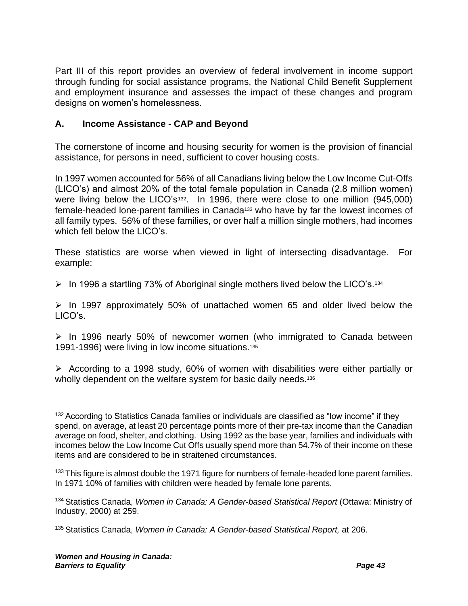Part III of this report provides an overview of federal involvement in income support through funding for social assistance programs, the National Child Benefit Supplement and employment insurance and assesses the impact of these changes and program designs on women's homelessness.

#### **A. Income Assistance - CAP and Beyond**

The cornerstone of income and housing security for women is the provision of financial assistance, for persons in need, sufficient to cover housing costs.

In 1997 women accounted for 56% of all Canadians living below the Low Income Cut-Offs (LICO's) and almost 20% of the total female population in Canada (2.8 million women) were living below the LICO's<sup>132</sup>. In 1996, there were close to one million (945,000) female-headed lone-parent families in Canada<sup>133</sup> who have by far the lowest incomes of all family types. 56% of these families, or over half a million single mothers, had incomes which fell below the LICO's.

These statistics are worse when viewed in light of intersecting disadvantage. For example:

 $\triangleright$  In 1996 a startling 73% of Aboriginal single mothers lived below the LICO's.<sup>134</sup>

 $\triangleright$  In 1997 approximately 50% of unattached women 65 and older lived below the LICO's.

 $\ge$  In 1996 nearly 50% of newcomer women (who immigrated to Canada between 1991-1996) were living in low income situations.<sup>135</sup>

<span id="page-46-0"></span>➢ According to a 1998 study, 60% of women with disabilities were either partially or wholly dependent on the welfare system for basic daily needs.<sup>136</sup>

<sup>&</sup>lt;sup>132</sup> According to Statistics Canada families or individuals are classified as "low income" if they spend, on average, at least 20 percentage points more of their pre-tax income than the Canadian average on food, shelter, and clothing. Using 1992 as the base year, families and individuals with incomes below the Low Income Cut Offs usually spend more than 54.7% of their income on these items and are considered to be in straitened circumstances.

<sup>&</sup>lt;sup>133</sup> This figure is almost double the 1971 figure for numbers of female-headed lone parent families. In 1971 10% of families with children were headed by female lone parents.

<sup>134</sup> Statistics Canada, *Women in Canada: A Gender-based Statistical Report* (Ottawa: Ministry of Industry, 2000) at 259.

<sup>135</sup> Statistics Canada, *Women in Canada: A Gender-based Statistical Report,* at 206.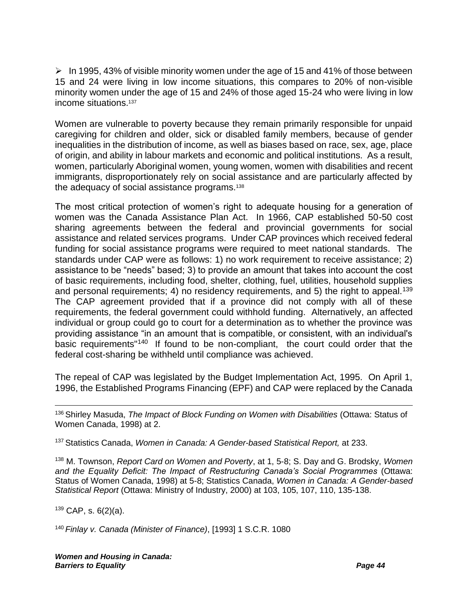$\triangleright$  In 1995, 43% of visible minority women under the age of 15 and 41% of those between 15 and 24 were living in low income situations, this compares to 20% of non-visible minority women under the age of 15 and 24% of those aged 15-24 who were living in low income situations.<sup>137</sup>

Women are vulnerable to poverty because they remain primarily responsible for unpaid caregiving for children and older, sick or disabled family members, because of gender inequalities in the distribution of income, as well as biases based on race, sex, age, place of origin, and ability in labour markets and economic and political institutions. As a result, women, particularly Aboriginal women, young women, women with disabilities and recent immigrants, disproportionately rely on social assistance and are particularly affected by the adequacy of social assistance programs.<sup>138</sup>

The most critical protection of women's right to adequate housing for a generation of women was the Canada Assistance Plan Act. In 1966, CAP established 50-50 cost sharing agreements between the federal and provincial governments for social assistance and related services programs. Under CAP provinces which received federal funding for social assistance programs were required to meet national standards. The standards under CAP were as follows: 1) no work requirement to receive assistance; 2) assistance to be "needs" based; 3) to provide an amount that takes into account the cost of basic requirements, including food, shelter, clothing, fuel, utilities, household supplies and personal requirements; 4) no residency requirements, and 5) the right to appeal.<sup>139</sup> The CAP agreement provided that if a province did not comply with all of these requirements, the federal government could withhold funding. Alternatively, an affected individual or group could go to court for a determination as to whether the province was providing assistance "in an amount that is compatible, or consistent, with an individual's basic requirements<sup>"140</sup> If found to be non-compliant, the court could order that the federal cost-sharing be withheld until compliance was achieved.

The repeal of CAP was legislated by the Budget Implementation Act, 1995. On April 1, 1996, the Established Programs Financing (EPF) and CAP were replaced by the Canada

<sup>136</sup> Shirley Masuda, *The Impact of Block Funding on Women with Disabilities* (Ottawa: Status of Women Canada, 1998) at 2.

<sup>137</sup> Statistics Canada, *Women in Canada: A Gender-based Statistical Report,* at 233.

<sup>138</sup> M. Townson, *Report Card on Women and Poverty*, at 1, 5-8; S. Day and G. Brodsky, *Women and the Equality Deficit: The Impact of Restructuring Canada's Social Programmes* (Ottawa: Status of Women Canada, 1998) at 5-8; Statistics Canada, *Women in Canada: A Gender-based Statistical Report* (Ottawa: Ministry of Industry, 2000) at 103, 105, 107, 110, 135-138.

 $139$  CAP, s.  $6(2)(a)$ .

<sup>140</sup> *Finlay v. Canada (Minister of Finance)*, [1993] 1 S.C.R. 1080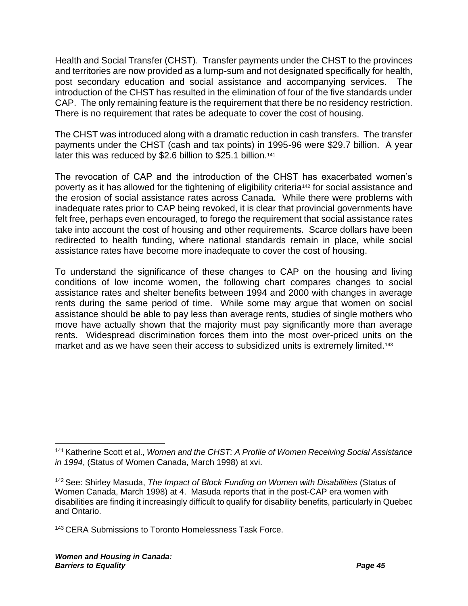Health and Social Transfer (CHST). Transfer payments under the CHST to the provinces and territories are now provided as a lump-sum and not designated specifically for health, post secondary education and social assistance and accompanying services. The introduction of the CHST has resulted in the elimination of four of the five standards under CAP. The only remaining feature is the requirement that there be no residency restriction. There is no requirement that rates be adequate to cover the cost of housing.

The CHST was introduced along with a dramatic reduction in cash transfers. The transfer payments under the CHST (cash and tax points) in 1995-96 were \$29.7 billion. A year later this was reduced by \$2.6 billion to \$25.1 billion.<sup>141</sup>

The revocation of CAP and the introduction of the CHST has exacerbated women's poverty as it has allowed for the tightening of eligibility criteria<sup>142</sup> for social assistance and the erosion of social assistance rates across Canada. While there were problems with inadequate rates prior to CAP being revoked, it is clear that provincial governments have felt free, perhaps even encouraged, to forego the requirement that social assistance rates take into account the cost of housing and other requirements. Scarce dollars have been redirected to health funding, where national standards remain in place, while social assistance rates have become more inadequate to cover the cost of housing.

To understand the significance of these changes to CAP on the housing and living conditions of low income women, the following chart compares changes to social assistance rates and shelter benefits between 1994 and 2000 with changes in average rents during the same period of time. While some may argue that women on social assistance should be able to pay less than average rents, studies of single mothers who move have actually shown that the majority must pay significantly more than average rents. Widespread discrimination forces them into the most over-priced units on the market and as we have seen their access to subsidized units is extremely limited.<sup>143</sup>

<sup>141</sup> Katherine Scott et al., *Women and the CHST: A Profile of Women Receiving Social Assistance in 1994*, (Status of Women Canada, March 1998) at xvi.

<sup>142</sup> See: Shirley Masuda, *The Impact of Block Funding on Women with Disabilities* (Status of Women Canada, March 1998) at 4. Masuda reports that in the post-CAP era women with disabilities are finding it increasingly difficult to qualify for disability benefits, particularly in Quebec and Ontario.

<sup>&</sup>lt;sup>143</sup> CERA Submissions to Toronto Homelessness Task Force.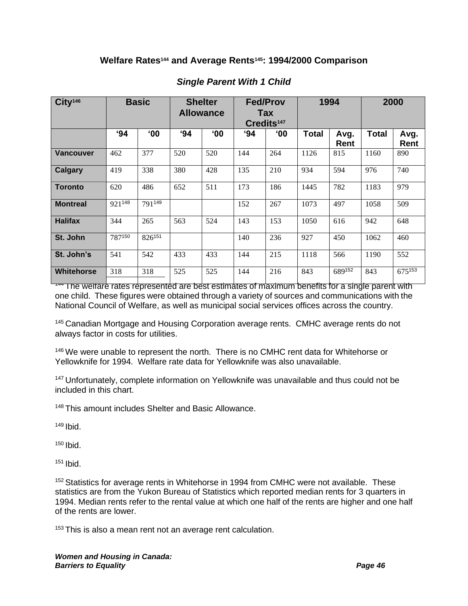#### **Welfare Rates<sup>144</sup> and Average Rents145: 1994/2000 Comparison**

| City <sup>146</sup> | <b>Basic</b> |              | <b>Shelter</b><br><b>Allowance</b> |              | <b>Fed/Prov</b><br>Tax<br>Credits <sup>147</sup> |              | 1994         |              | 2000         |              |
|---------------------|--------------|--------------|------------------------------------|--------------|--------------------------------------------------|--------------|--------------|--------------|--------------|--------------|
|                     | 94           | $^{\circ}00$ | 94                                 | $^{\circ}00$ | 94                                               | $^{\circ}00$ | <b>Total</b> | Avg.<br>Rent | <b>Total</b> | Avg.<br>Rent |
| <b>Vancouver</b>    | 462          | 377          | 520                                | 520          | 144                                              | 264          | 1126         | 815          | 1160         | 890          |
| Calgary             | 419          | 338          | 380                                | 428          | 135                                              | 210          | 934          | 594          | 976          | 740          |
| <b>Toronto</b>      | 620          | 486          | 652                                | 511          | 173                                              | 186          | 1445         | 782          | 1183         | 979          |
| <b>Montreal</b>     | 921148       | 791149       |                                    |              | 152                                              | 267          | 1073         | 497          | 1058         | 509          |
| <b>Halifax</b>      | 344          | 265          | 563                                | 524          | 143                                              | 153          | 1050         | 616          | 942          | 648          |
| St. John            | 787150       | 826151       |                                    |              | 140                                              | 236          | 927          | 450          | 1062         | 460          |
| St. John's          | 541          | 542          | 433                                | 433          | 144                                              | 215          | 1118         | 566          | 1190         | 552          |
| <b>Whitehorse</b>   | 318          | 318          | 525                                | 525          | 144                                              | 216          | 843          | 689152       | 843          | 675153       |

#### *Single Parent With 1 Child*

THE WELF THE WELF REPRISE REPRISENTED Are best estimates of maximum benefits for a single parent with one child. These figures were obtained through a variety of sources and communications with the National Council of Welfare, as well as municipal social services offices across the country.

<sup>145</sup> Canadian Mortgage and Housing Corporation average rents. CMHC average rents do not always factor in costs for utilities.

<sup>146</sup> We were unable to represent the north. There is no CMHC rent data for Whitehorse or Yellowknife for 1994. Welfare rate data for Yellowknife was also unavailable.

<sup>147</sup> Unfortunately, complete information on Yellowknife was unavailable and thus could not be included in this chart.

<sup>148</sup> This amount includes Shelter and Basic Allowance.

 $149$  Ibid.

 $150$  Ibid.

 $151$  Ibid.

<sup>152</sup> Statistics for average rents in Whitehorse in 1994 from CMHC were not available. These statistics are from the Yukon Bureau of Statistics which reported median rents for 3 quarters in 1994. Median rents refer to the rental value at which one half of the rents are higher and one half of the rents are lower.

 $153$  This is also a mean rent not an average rent calculation.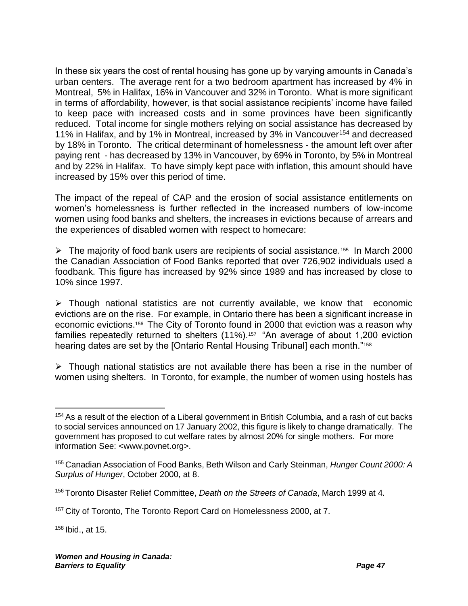In these six years the cost of rental housing has gone up by varying amounts in Canada's urban centers. The average rent for a two bedroom apartment has increased by 4% in Montreal, 5% in Halifax, 16% in Vancouver and 32% in Toronto. What is more significant in terms of affordability, however, is that social assistance recipients' income have failed to keep pace with increased costs and in some provinces have been significantly reduced. Total income for single mothers relying on social assistance has decreased by 11% in Halifax, and by 1% in Montreal, increased by 3% in Vancouver<sup>154</sup> and decreased by 18% in Toronto. The critical determinant of homelessness - the amount left over after paying rent - has decreased by 13% in Vancouver, by 69% in Toronto, by 5% in Montreal and by 22% in Halifax. To have simply kept pace with inflation, this amount should have increased by 15% over this period of time.

The impact of the repeal of CAP and the erosion of social assistance entitlements on women's homelessness is further reflected in the increased numbers of low-income women using food banks and shelters, the increases in evictions because of arrears and the experiences of disabled women with respect to homecare:

➢ The majority of food bank users are recipients of social assistance.<sup>155</sup> In March 2000 the Canadian Association of Food Banks reported that over 726,902 individuals used a foodbank. This figure has increased by 92% since 1989 and has increased by close to 10% since 1997.

 $\triangleright$  Though national statistics are not currently available, we know that economic evictions are on the rise. For example, in Ontario there has been a significant increase in economic evictions.<sup>156</sup> The City of Toronto found in 2000 that eviction was a reason why families repeatedly returned to shelters (11%).<sup>157</sup> "An average of about 1,200 eviction hearing dates are set by the [Ontario Rental Housing Tribunal] each month."<sup>158</sup>

➢ Though national statistics are not available there has been a rise in the number of women using shelters. In Toronto, for example, the number of women using hostels has

 $158$  Ibid., at 15.

<sup>&</sup>lt;sup>154</sup> As a result of the election of a Liberal government in British Columbia, and a rash of cut backs to social services announced on 17 January 2002, this figure is likely to change dramatically. The government has proposed to cut welfare rates by almost 20% for single mothers. For more information See: <www.povnet.org>.

<sup>155</sup> Canadian Association of Food Banks, Beth Wilson and Carly Steinman, *Hunger Count 2000: A Surplus of Hunger*, October 2000, at 8.

<sup>156</sup> Toronto Disaster Relief Committee, *Death on the Streets of Canada*, March 1999 at 4.

<sup>&</sup>lt;sup>157</sup> City of Toronto, The Toronto Report Card on Homelessness 2000, at 7.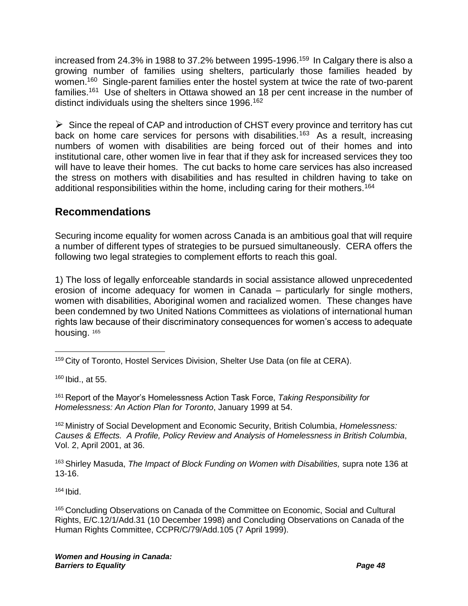increased from 24.3% in 1988 to 37.2% between 1995-1996.<sup>159</sup> In Calgary there is also a growing number of families using shelters, particularly those families headed by women.<sup>160</sup> Single-parent families enter the hostel system at twice the rate of two-parent families.<sup>161</sup> Use of shelters in Ottawa showed an 18 per cent increase in the number of distinct individuals using the shelters since 1996.<sup>162</sup>

 $\triangleright$  Since the repeal of CAP and introduction of CHST every province and territory has cut back on home care services for persons with disabilities.<sup>163</sup> As a result, increasing numbers of women with disabilities are being forced out of their homes and into institutional care, other women live in fear that if they ask for increased services they too will have to leave their homes. The cut backs to home care services has also increased the stress on mothers with disabilities and has resulted in children having to take on additional responsibilities within the home, including caring for their mothers.<sup>164</sup>

# **Recommendations**

Securing income equality for women across Canada is an ambitious goal that will require a number of different types of strategies to be pursued simultaneously. CERA offers the following two legal strategies to complement efforts to reach this goal.

1) The loss of legally enforceable standards in social assistance allowed unprecedented erosion of income adequacy for women in Canada – particularly for single mothers, women with disabilities, Aboriginal women and racialized women. These changes have been condemned by two United Nations Committees as violations of international human rights law because of their discriminatory consequences for women's access to adequate housing. 165

<sup>160</sup> Ibid., at 55.

<sup>161</sup> Report of the Mayor's Homelessness Action Task Force, *Taking Responsibility for Homelessness: An Action Plan for Toronto*, January 1999 at 54.

<sup>162</sup> Ministry of Social Development and Economic Security, British Columbia, *Homelessness: Causes & Effects. A Profile, Policy Review and Analysis of Homelessness in British Columbia*, Vol. 2, April 2001, at 36.

<sup>163</sup> Shirley Masuda, *The Impact of Block Funding on Women with Disabilities,* supra note [136](#page-46-0) at 13-16.

 $164$  Ibid.

<sup>165</sup> Concluding Observations on Canada of the Committee on Economic, Social and Cultural Rights, E/C.12/1/Add.31 (10 December 1998) and Concluding Observations on Canada of the Human Rights Committee, CCPR/C/79/Add.105 (7 April 1999).

<sup>159</sup> City of Toronto, Hostel Services Division, Shelter Use Data (on file at CERA).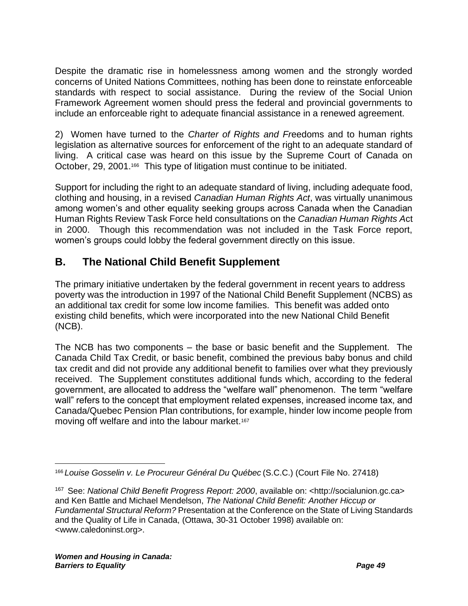Despite the dramatic rise in homelessness among women and the strongly worded concerns of United Nations Committees, nothing has been done to reinstate enforceable standards with respect to social assistance. During the review of the Social Union Framework Agreement women should press the federal and provincial governments to include an enforceable right to adequate financial assistance in a renewed agreement.

2) Women have turned to the *Charter of Rights and Fr*eedoms and to human rights legislation as alternative sources for enforcement of the right to an adequate standard of living. A critical case was heard on this issue by the Supreme Court of Canada on October, 29, 2001.<sup>166</sup> This type of litigation must continue to be initiated.

Support for including the right to an adequate standard of living, including adequate food, clothing and housing, in a revised *Canadian Human Rights Act*, was virtually unanimous among women's and other equality seeking groups across Canada when the Canadian Human Rights Review Task Force held consultations on the *Canadian Human Rights A*ct in 2000. Though this recommendation was not included in the Task Force report, women's groups could lobby the federal government directly on this issue.

# **B. The National Child Benefit Supplement**

The primary initiative undertaken by the federal government in recent years to address poverty was the introduction in 1997 of the National Child Benefit Supplement (NCBS) as an additional tax credit for some low income families. This benefit was added onto existing child benefits, which were incorporated into the new National Child Benefit (NCB).

The NCB has two components – the base or basic benefit and the Supplement. The Canada Child Tax Credit, or basic benefit, combined the previous baby bonus and child tax credit and did not provide any additional benefit to families over what they previously received. The Supplement constitutes additional funds which, according to the federal government, are allocated to address the "welfare wall" phenomenon. The term "welfare wall" refers to the concept that employment related expenses, increased income tax, and Canada/Quebec Pension Plan contributions, for example, hinder low income people from moving off welfare and into the labour market.<sup>167</sup>

<span id="page-52-0"></span><sup>166</sup> *Louise Gosselin v. Le Procureur Général Du Québec* (S.C.C.) (Court File No. 27418)

<sup>167</sup> See: *National Child Benefit Progress Report: 2000*, available on: <http://socialunion.gc.ca> and Ken Battle and Michael Mendelson, *The National Child Benefit: Another Hiccup or Fundamental Structural Reform?* Presentation at the Conference on the State of Living Standards and the Quality of Life in Canada, (Ottawa, 30-31 October 1998) available on: <www.caledoninst.org>.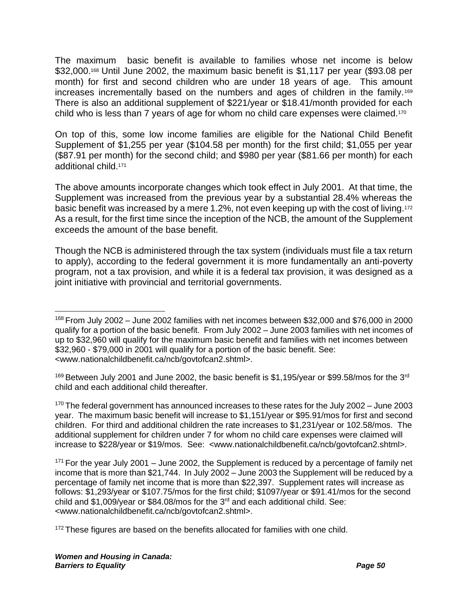The maximum basic benefit is available to families whose net income is below \$32,000.<sup>168</sup> Until June 2002, the maximum basic benefit is \$1,117 per year (\$93.08 per month) for first and second children who are under 18 years of age. This amount increases incrementally based on the numbers and ages of children in the family.<sup>169</sup> There is also an additional supplement of \$221/year or \$18.41/month provided for each child who is less than 7 years of age for whom no child care expenses were claimed.<sup>170</sup>

On top of this, some low income families are eligible for the National Child Benefit Supplement of \$1,255 per year (\$104.58 per month) for the first child; \$1,055 per year (\$87.91 per month) for the second child; and \$980 per year (\$81.66 per month) for each additional child.<sup>171</sup>

The above amounts incorporate changes which took effect in July 2001. At that time, the Supplement was increased from the previous year by a substantial 28.4% whereas the basic benefit was increased by a mere 1.2%, not even keeping up with the cost of living.<sup>172</sup> As a result, for the first time since the inception of the NCB, the amount of the Supplement exceeds the amount of the base benefit.

Though the NCB is administered through the tax system (individuals must file a tax return to apply), according to the federal government it is more fundamentally an anti-poverty program, not a tax provision, and while it is a federal tax provision, it was designed as a joint initiative with provincial and territorial governments.

<sup>170</sup> The federal government has announced increases to these rates for the July 2002 – June 2003 year. The maximum basic benefit will increase to \$1,151/year or \$95.91/mos for first and second children. For third and additional children the rate increases to \$1,231/year or 102.58/mos. The additional supplement for children under 7 for whom no child care expenses were claimed will increase to \$228/year or \$19/mos. See: <www.nationalchildbenefit.ca/ncb/govtofcan2.shtml>.

<sup>168</sup> From July 2002 – June 2002 families with net incomes between \$32,000 and \$76,000 in 2000 qualify for a portion of the basic benefit. From July 2002 – June 2003 families with net incomes of up to \$32,960 will qualify for the maximum basic benefit and families with net incomes between \$32,960 - \$79,000 in 2001 will qualify for a portion of the basic benefit. See: <www.nationalchildbenefit.ca/ncb/govtofcan2.shtml>.

 $169$  Between July 2001 and June 2002, the basic benefit is \$1,195/year or \$99.58/mos for the 3<sup>rd</sup> child and each additional child thereafter.

 $171$  For the year July 2001 – June 2002, the Supplement is reduced by a percentage of family net income that is more than \$21,744. In July 2002 – June 2003 the Supplement will be reduced by a percentage of family net income that is more than \$22,397. Supplement rates will increase as follows: \$1,293/year or \$107.75/mos for the first child; \$1097/year or \$91.41/mos for the second child and \$1,009/year or \$84.08/mos for the  $3<sup>rd</sup>$  and each additional child. See: <www.nationalchildbenefit.ca/ncb/govtofcan2.shtml>.

 $172$  These figures are based on the benefits allocated for families with one child.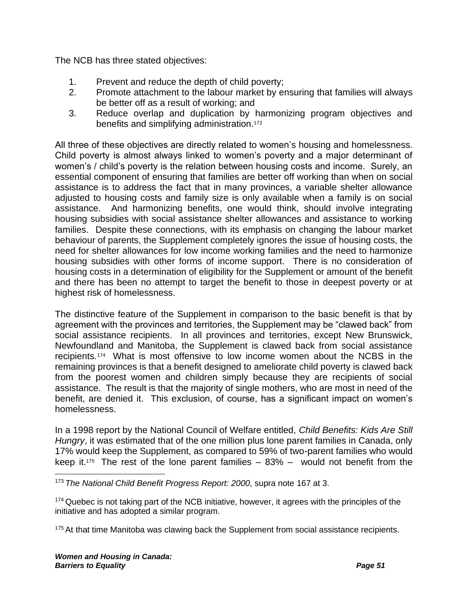The NCB has three stated objectives:

- 1. Prevent and reduce the depth of child poverty;
- 2. Promote attachment to the labour market by ensuring that families will always be better off as a result of working; and
- 3. Reduce overlap and duplication by harmonizing program objectives and benefits and simplifying administration.<sup>173</sup>

All three of these objectives are directly related to women's housing and homelessness. Child poverty is almost always linked to women's poverty and a major determinant of women's / child's poverty is the relation between housing costs and income. Surely, an essential component of ensuring that families are better off working than when on social assistance is to address the fact that in many provinces, a variable shelter allowance adjusted to housing costs and family size is only available when a family is on social assistance. And harmonizing benefits, one would think, should involve integrating housing subsidies with social assistance shelter allowances and assistance to working families. Despite these connections, with its emphasis on changing the labour market behaviour of parents, the Supplement completely ignores the issue of housing costs, the need for shelter allowances for low income working families and the need to harmonize housing subsidies with other forms of income support. There is no consideration of housing costs in a determination of eligibility for the Supplement or amount of the benefit and there has been no attempt to target the benefit to those in deepest poverty or at highest risk of homelessness.

The distinctive feature of the Supplement in comparison to the basic benefit is that by agreement with the provinces and territories, the Supplement may be "clawed back" from social assistance recipients. In all provinces and territories, except New Brunswick, Newfoundland and Manitoba, the Supplement is clawed back from social assistance recipients.<sup>174</sup> What is most offensive to low income women about the NCBS in the remaining provinces is that a benefit designed to ameliorate child poverty is clawed back from the poorest women and children simply because they are recipients of social assistance. The result is that the majority of single mothers, who are most in need of the benefit, are denied it. This exclusion, of course, has a significant impact on women's homelessness.

In a 1998 report by the National Council of Welfare entitled, *Child Benefits: Kids Are Still Hungry*, it was estimated that of the one million plus lone parent families in Canada, only 17% would keep the Supplement, as compared to 59% of two-parent families who would keep it.<sup>175</sup> The rest of the lone parent families  $-83% -$  would not benefit from the

<sup>173</sup> *The National Child Benefit Progress Report: 2000*, supra note [167](#page-52-0) at 3.

<sup>&</sup>lt;sup>174</sup> Quebec is not taking part of the NCB initiative, however, it agrees with the principles of the initiative and has adopted a similar program.

 $175$  At that time Manitoba was clawing back the Supplement from social assistance recipients.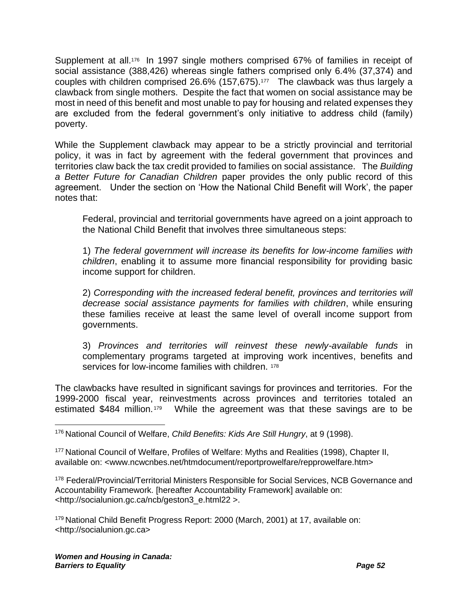Supplement at all.<sup>176</sup> In 1997 single mothers comprised 67% of families in receipt of social assistance (388,426) whereas single fathers comprised only 6.4% (37,374) and couples with children comprised 26.6% (157,675).<sup>177</sup> The clawback was thus largely a clawback from single mothers. Despite the fact that women on social assistance may be most in need of this benefit and most unable to pay for housing and related expenses they are excluded from the federal government's only initiative to address child (family) poverty.

While the Supplement clawback may appear to be a strictly provincial and territorial policy, it was in fact by agreement with the federal government that provinces and territories claw back the tax credit provided to families on social assistance. The *Building a Better Future for Canadian Children* paper provides the only public record of this agreement. Under the section on 'How the National Child Benefit will Work', the paper notes that:

Federal, provincial and territorial governments have agreed on a joint approach to the National Child Benefit that involves three simultaneous steps:

1) *The federal government will increase its benefits for low-income families with children*, enabling it to assume more financial responsibility for providing basic income support for children.

2) *Corresponding with the increased federal benefit, provinces and territories will decrease social assistance payments for families with children*, while ensuring these families receive at least the same level of overall income support from governments.

3) *Provinces and territories will reinvest these newly-available funds* in complementary programs targeted at improving work incentives, benefits and services for low-income families with children. 178

The clawbacks have resulted in significant savings for provinces and territories. For the 1999-2000 fiscal year, reinvestments across provinces and territories totaled an estimated \$484 million.<sup>179</sup> While the agreement was that these savings are to be

<sup>179</sup> National Child Benefit Progress Report: 2000 (March, 2001) at 17, available on: <http://socialunion.gc.ca>

<sup>176</sup> National Council of Welfare, *Child Benefits: Kids Are Still Hungry*, at 9 (1998).

<sup>177</sup> National Council of Welfare, Profiles of Welfare: Myths and Realities (1998), Chapter II, available on: <www.ncwcnbes.net/htmdocument/reportprowelfare/repprowelfare.htm>

<sup>178</sup> Federal/Provincial/Territorial Ministers Responsible for Social Services, NCB Governance and Accountability Framework. [hereafter Accountability Framework] available on: <http://socialunion.gc.ca/ncb/geston3\_e.html22 >.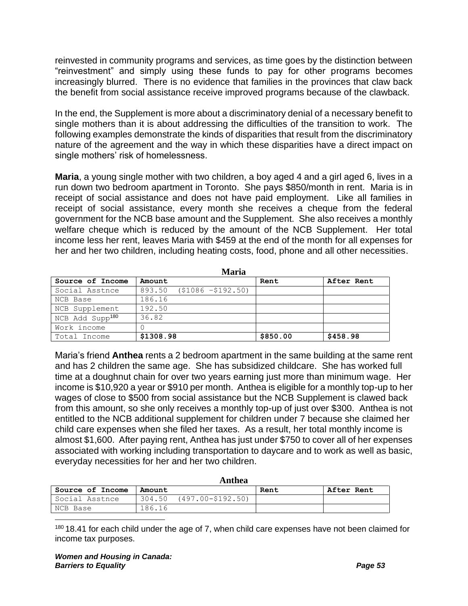reinvested in community programs and services, as time goes by the distinction between "reinvestment" and simply using these funds to pay for other programs becomes increasingly blurred. There is no evidence that families in the provinces that claw back the benefit from social assistance receive improved programs because of the clawback.

In the end, the Supplement is more about a discriminatory denial of a necessary benefit to single mothers than it is about addressing the difficulties of the transition to work. The following examples demonstrate the kinds of disparities that result from the discriminatory nature of the agreement and the way in which these disparities have a direct impact on single mothers' risk of homelessness.

**Maria**, a young single mother with two children, a boy aged 4 and a girl aged 6, lives in a run down two bedroom apartment in Toronto. She pays \$850/month in rent. Maria is in receipt of social assistance and does not have paid employment. Like all families in receipt of social assistance, every month she receives a cheque from the federal government for the NCB base amount and the Supplement. She also receives a monthly welfare cheque which is reduced by the amount of the NCB Supplement. Her total income less her rent, leaves Maria with \$459 at the end of the month for all expenses for her and her two children, including heating costs, food, phone and all other necessities.

|                             | Maria                        |          |            |
|-----------------------------|------------------------------|----------|------------|
| Source of Income            | Amount                       | Rent     | After Rent |
| Social Asstnce              | $893.50$ $($1086 - $192.50)$ |          |            |
| NCB Base                    | 186.16                       |          |            |
| NCB Supplement              | 192.50                       |          |            |
| NCB Add Supp <sup>180</sup> | 36.82                        |          |            |
| Work income                 |                              |          |            |
| Total Income                | \$1308.98                    | \$850.00 | \$458.98   |

Maria's friend **Anthea** rents a 2 bedroom apartment in the same building at the same rent and has 2 children the same age. She has subsidized childcare. She has worked full time at a doughnut chain for over two years earning just more than minimum wage. Her income is \$10,920 a year or \$910 per month. Anthea is eligible for a monthly top-up to her wages of close to \$500 from social assistance but the NCB Supplement is clawed back from this amount, so she only receives a monthly top-up of just over \$300. Anthea is not entitled to the NCB additional supplement for children under 7 because she claimed her child care expenses when she filed her taxes. As a result, her total monthly income is almost \$1,600. After paying rent, Anthea has just under \$750 to cover all of her expenses associated with working including transportation to daycare and to work as well as basic, everyday necessities for her and her two children.

|                  |        | Anthea            |      |                   |
|------------------|--------|-------------------|------|-------------------|
| Source of Income | Amount |                   | Rent | <b>After Rent</b> |
| Social Asstnce   | 304.50 | (497.00-\$192.50) |      |                   |
| NCB Base         | 186.16 |                   |      |                   |

 $180$  18.41 for each child under the age of 7, when child care expenses have not been claimed for income tax purposes.

**Maria**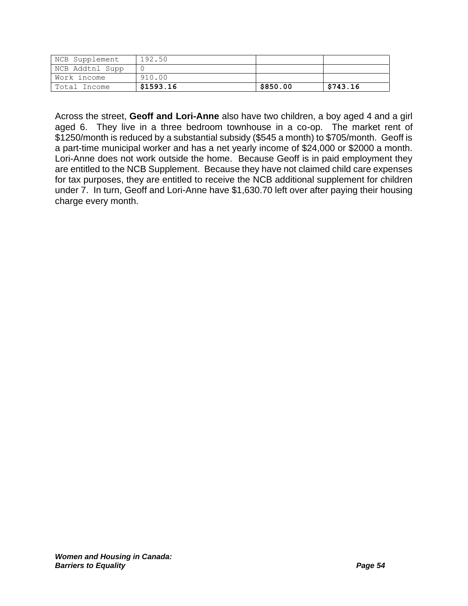| NCB Supplement  | 192.50    |          |          |
|-----------------|-----------|----------|----------|
| NCB Addtnl Supp |           |          |          |
| Work income     | 910.00    |          |          |
| Total Income    | \$1593.16 | \$850.00 | \$743.16 |

Across the street, **Geoff and Lori-Anne** also have two children, a boy aged 4 and a girl aged 6. They live in a three bedroom townhouse in a co-op. The market rent of \$1250/month is reduced by a substantial subsidy (\$545 a month) to \$705/month. Geoff is a part-time municipal worker and has a net yearly income of \$24,000 or \$2000 a month. Lori-Anne does not work outside the home. Because Geoff is in paid employment they are entitled to the NCB Supplement. Because they have not claimed child care expenses for tax purposes, they are entitled to receive the NCB additional supplement for children under 7. In turn, Geoff and Lori-Anne have \$1,630.70 left over after paying their housing charge every month.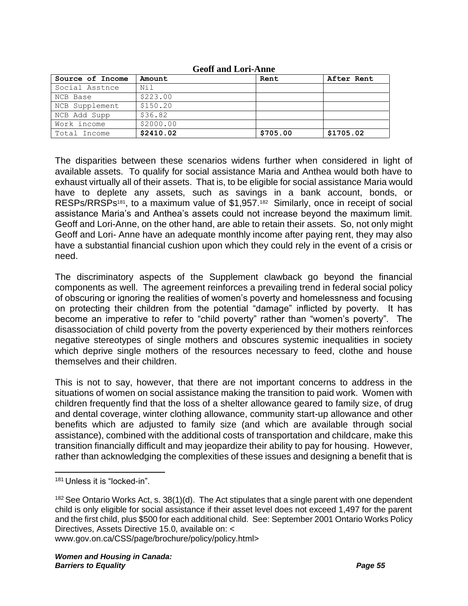| Source of Income | Amount    | Rent     | After Rent |  |  |  |
|------------------|-----------|----------|------------|--|--|--|
| Social Asstnce   | Ni l      |          |            |  |  |  |
| NCB Base         | \$223.00  |          |            |  |  |  |
| NCB Supplement   | \$150.20  |          |            |  |  |  |
| NCB Add Supp     | \$36.82   |          |            |  |  |  |
| Work income      | \$2000.00 |          |            |  |  |  |
| Total Income     | \$2410.02 | \$705.00 | \$1705.02  |  |  |  |

#### **Geoff and Lori-Anne**

The disparities between these scenarios widens further when considered in light of available assets. To qualify for social assistance Maria and Anthea would both have to exhaust virtually all of their assets. That is, to be eligible for social assistance Maria would have to deplete any assets, such as savings in a bank account, bonds, or RESPs/RRSPs<sup>181</sup>, to a maximum value of \$1,957.<sup>182</sup> Similarly, once in receipt of social assistance Maria's and Anthea's assets could not increase beyond the maximum limit. Geoff and Lori-Anne, on the other hand, are able to retain their assets. So, not only might Geoff and Lori- Anne have an adequate monthly income after paying rent, they may also have a substantial financial cushion upon which they could rely in the event of a crisis or need.

The discriminatory aspects of the Supplement clawback go beyond the financial components as well. The agreement reinforces a prevailing trend in federal social policy of obscuring or ignoring the realities of women's poverty and homelessness and focusing on protecting their children from the potential "damage" inflicted by poverty. It has become an imperative to refer to "child poverty" rather than "women's poverty". The disassociation of child poverty from the poverty experienced by their mothers reinforces negative stereotypes of single mothers and obscures systemic inequalities in society which deprive single mothers of the resources necessary to feed, clothe and house themselves and their children.

This is not to say, however, that there are not important concerns to address in the situations of women on social assistance making the transition to paid work. Women with children frequently find that the loss of a shelter allowance geared to family size, of drug and dental coverage, winter clothing allowance, community start-up allowance and other benefits which are adjusted to family size (and which are available through social assistance), combined with the additional costs of transportation and childcare, make this transition financially difficult and may jeopardize their ability to pay for housing. However, rather than acknowledging the complexities of these issues and designing a benefit that is

www.gov.on.ca/CSS/page/brochure/policy/policy.html>

<sup>181</sup> Unless it is "locked-in".

 $182$  See Ontario Works Act, s. 38(1)(d). The Act stipulates that a single parent with one dependent child is only eligible for social assistance if their asset level does not exceed 1,497 for the parent and the first child, plus \$500 for each additional child. See: September 2001 Ontario Works Policy Directives, Assets Directive 15.0, available on: <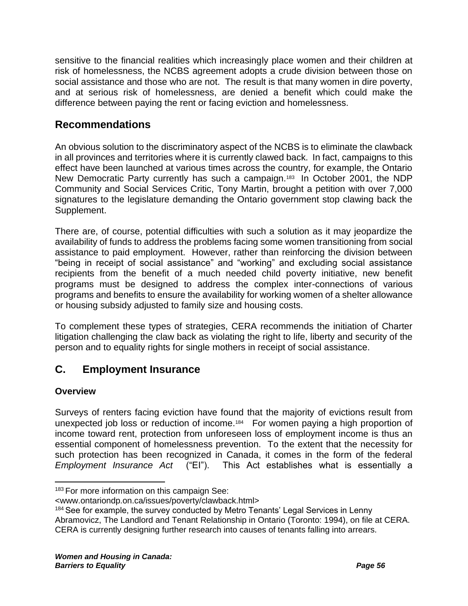sensitive to the financial realities which increasingly place women and their children at risk of homelessness, the NCBS agreement adopts a crude division between those on social assistance and those who are not. The result is that many women in dire poverty, and at serious risk of homelessness, are denied a benefit which could make the difference between paying the rent or facing eviction and homelessness.

# **Recommendations**

An obvious solution to the discriminatory aspect of the NCBS is to eliminate the clawback in all provinces and territories where it is currently clawed back. In fact, campaigns to this effect have been launched at various times across the country, for example, the Ontario New Democratic Party currently has such a campaign.<sup>183</sup> In October 2001, the NDP Community and Social Services Critic, Tony Martin, brought a petition with over 7,000 signatures to the legislature demanding the Ontario government stop clawing back the Supplement.

There are, of course, potential difficulties with such a solution as it may jeopardize the availability of funds to address the problems facing some women transitioning from social assistance to paid employment. However, rather than reinforcing the division between "being in receipt of social assistance" and "working" and excluding social assistance recipients from the benefit of a much needed child poverty initiative, new benefit programs must be designed to address the complex inter-connections of various programs and benefits to ensure the availability for working women of a shelter allowance or housing subsidy adjusted to family size and housing costs.

To complement these types of strategies, CERA recommends the initiation of Charter litigation challenging the claw back as violating the right to life, liberty and security of the person and to equality rights for single mothers in receipt of social assistance.

# **C. Employment Insurance**

### **Overview**

Surveys of renters facing eviction have found that the majority of evictions result from unexpected job loss or reduction of income.<sup>184</sup> For women paying a high proportion of income toward rent, protection from unforeseen loss of employment income is thus an essential component of homelessness prevention. To the extent that the necessity for such protection has been recognized in Canada, it comes in the form of the federal *Employment Insurance Act* ("EI"). This Act establishes what is essentially a

Abramovicz, The Landlord and Tenant Relationship in Ontario (Toronto: 1994), on file at CERA. CERA is currently designing further research into causes of tenants falling into arrears.

<sup>&</sup>lt;sup>183</sup> For more information on this campaign See:

<sup>&</sup>lt;www.ontariondp.on.ca/issues/poverty/clawback.html>

<sup>&</sup>lt;sup>184</sup> See for example, the survey conducted by Metro Tenants' Legal Services in Lenny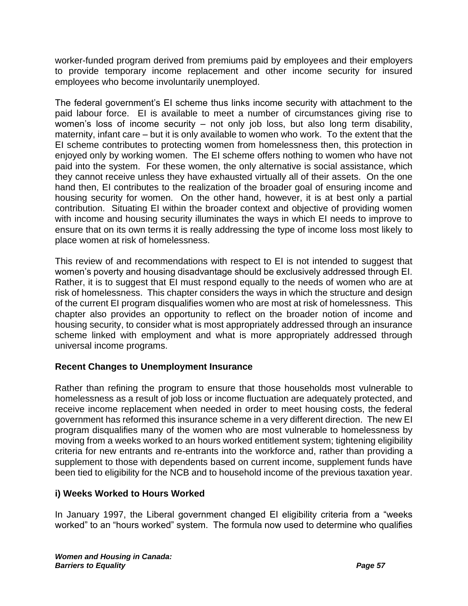worker-funded program derived from premiums paid by employees and their employers to provide temporary income replacement and other income security for insured employees who become involuntarily unemployed.

The federal government's EI scheme thus links income security with attachment to the paid labour force. EI is available to meet a number of circumstances giving rise to women's loss of income security – not only job loss, but also long term disability, maternity, infant care – but it is only available to women who work. To the extent that the EI scheme contributes to protecting women from homelessness then, this protection in enjoyed only by working women. The EI scheme offers nothing to women who have not paid into the system. For these women, the only alternative is social assistance, which they cannot receive unless they have exhausted virtually all of their assets. On the one hand then, EI contributes to the realization of the broader goal of ensuring income and housing security for women. On the other hand, however, it is at best only a partial contribution. Situating EI within the broader context and objective of providing women with income and housing security illuminates the ways in which EI needs to improve to ensure that on its own terms it is really addressing the type of income loss most likely to place women at risk of homelessness.

This review of and recommendations with respect to EI is not intended to suggest that women's poverty and housing disadvantage should be exclusively addressed through EI. Rather, it is to suggest that EI must respond equally to the needs of women who are at risk of homelessness. This chapter considers the ways in which the structure and design of the current EI program disqualifies women who are most at risk of homelessness. This chapter also provides an opportunity to reflect on the broader notion of income and housing security, to consider what is most appropriately addressed through an insurance scheme linked with employment and what is more appropriately addressed through universal income programs.

#### **Recent Changes to Unemployment Insurance**

Rather than refining the program to ensure that those households most vulnerable to homelessness as a result of job loss or income fluctuation are adequately protected, and receive income replacement when needed in order to meet housing costs, the federal government has reformed this insurance scheme in a very different direction. The new EI program disqualifies many of the women who are most vulnerable to homelessness by moving from a weeks worked to an hours worked entitlement system; tightening eligibility criteria for new entrants and re-entrants into the workforce and, rather than providing a supplement to those with dependents based on current income, supplement funds have been tied to eligibility for the NCB and to household income of the previous taxation year.

#### **i) Weeks Worked to Hours Worked**

In January 1997, the Liberal government changed EI eligibility criteria from a "weeks worked" to an "hours worked" system. The formula now used to determine who qualifies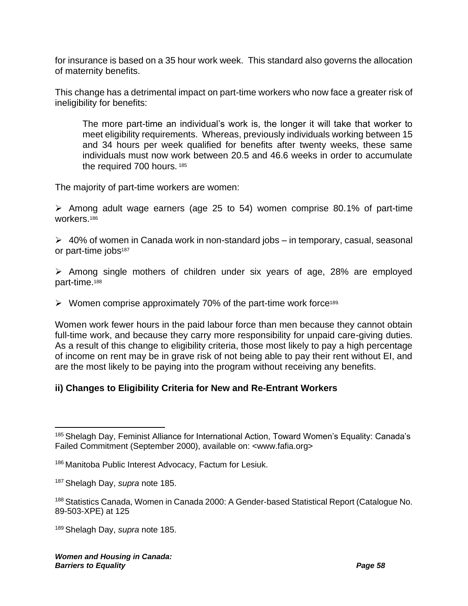for insurance is based on a 35 hour work week. This standard also governs the allocation of maternity benefits.

This change has a detrimental impact on part-time workers who now face a greater risk of ineligibility for benefits:

<span id="page-61-0"></span>The more part-time an individual's work is, the longer it will take that worker to meet eligibility requirements. Whereas, previously individuals working between 15 and 34 hours per week qualified for benefits after twenty weeks, these same individuals must now work between 20.5 and 46.6 weeks in order to accumulate the required 700 hours. 185

The majority of part-time workers are women:

➢ Among adult wage earners (age 25 to 54) women comprise 80.1% of part-time workers.<sup>186</sup>

 $\geq 40\%$  of women in Canada work in non-standard jobs – in temporary, casual, seasonal or part-time jobs<sup>187</sup>

➢ Among single mothers of children under six years of age, 28% are employed part-time.<sup>188</sup>

 $\triangleright$  Women comprise approximately 70% of the part-time work force<sup>189.</sup>

Women work fewer hours in the paid labour force than men because they cannot obtain full-time work, and because they carry more responsibility for unpaid care-giving duties. As a result of this change to eligibility criteria, those most likely to pay a high percentage of income on rent may be in grave risk of not being able to pay their rent without EI, and are the most likely to be paying into the program without receiving any benefits.

#### **ii) Changes to Eligibility Criteria for New and Re-Entrant Workers**

<sup>&</sup>lt;sup>185</sup> Shelagh Day, Feminist Alliance for International Action, Toward Women's Equality: Canada's Failed Commitment (September 2000), available on: <www.fafia.org>

<sup>186</sup> Manitoba Public Interest Advocacy, Factum for Lesiuk.

<sup>187</sup> Shelagh Day, *supra* note [185.](#page-61-0)

<sup>188</sup> Statistics Canada, Women in Canada 2000: A Gender-based Statistical Report (Catalogue No. 89-503-XPE) at 125

<sup>189</sup> Shelagh Day, *supra* note [185.](#page-61-0)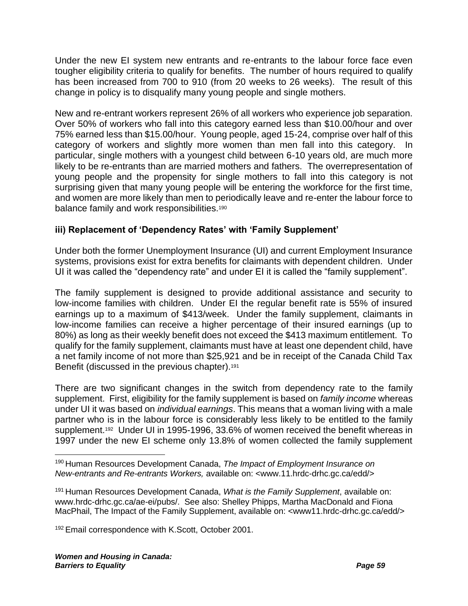Under the new EI system new entrants and re-entrants to the labour force face even tougher eligibility criteria to qualify for benefits. The number of hours required to qualify has been increased from 700 to 910 (from 20 weeks to 26 weeks). The result of this change in policy is to disqualify many young people and single mothers.

New and re-entrant workers represent 26% of all workers who experience job separation. Over 50% of workers who fall into this category earned less than \$10.00/hour and over 75% earned less than \$15.00/hour. Young people, aged 15-24, comprise over half of this category of workers and slightly more women than men fall into this category. In particular, single mothers with a youngest child between 6-10 years old, are much more likely to be re-entrants than are married mothers and fathers. The overrepresentation of young people and the propensity for single mothers to fall into this category is not surprising given that many young people will be entering the workforce for the first time, and women are more likely than men to periodically leave and re-enter the labour force to balance family and work responsibilities.<sup>190</sup>

#### **iii) Replacement of 'Dependency Rates' with 'Family Supplement'**

Under both the former Unemployment Insurance (UI) and current Employment Insurance systems, provisions exist for extra benefits for claimants with dependent children. Under UI it was called the "dependency rate" and under EI it is called the "family supplement".

The family supplement is designed to provide additional assistance and security to low-income families with children. Under EI the regular benefit rate is 55% of insured earnings up to a maximum of \$413/week. Under the family supplement, claimants in low-income families can receive a higher percentage of their insured earnings (up to 80%) as long as their weekly benefit does not exceed the \$413 maximum entitlement. To qualify for the family supplement, claimants must have at least one dependent child, have a net family income of not more than \$25,921 and be in receipt of the Canada Child Tax Benefit (discussed in the previous chapter).<sup>191</sup>

<span id="page-62-0"></span>There are two significant changes in the switch from dependency rate to the family supplement. First, eligibility for the family supplement is based on *family income* whereas under UI it was based on *individual earnings*. This means that a woman living with a male partner who is in the labour force is considerably less likely to be entitled to the family supplement.<sup>192</sup> Under UI in 1995-1996, 33.6% of women received the benefit whereas in 1997 under the new EI scheme only 13.8% of women collected the family supplement

<sup>191</sup> Human Resources Development Canada, *What is the Family Supplement*, available on: www.hrdc-drhc.gc.ca/ae-ei/pubs/. See also: Shelley Phipps, Martha MacDonald and Fiona MacPhail, The Impact of the Family Supplement, available on: <www11.hrdc-drhc.gc.ca/edd/>

<sup>192</sup> Email correspondence with K.Scott, October 2001.

<sup>190</sup> Human Resources Development Canada, *The Impact of Employment Insurance on New-entrants and Re-entrants Workers,* available on: <www.11.hrdc-drhc.gc.ca/edd/>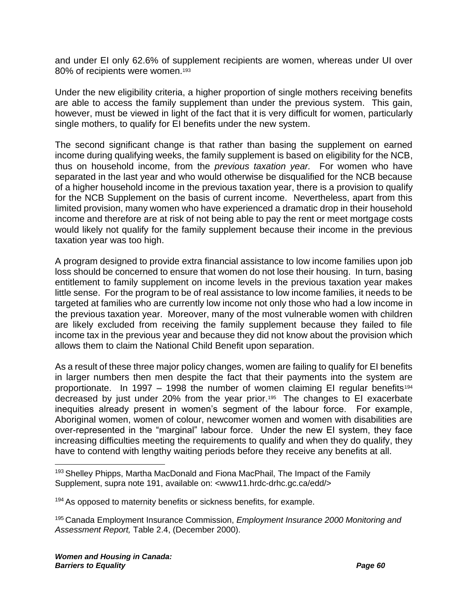and under EI only 62.6% of supplement recipients are women, whereas under UI over 80% of recipients were women.<sup>193</sup>

Under the new eligibility criteria, a higher proportion of single mothers receiving benefits are able to access the family supplement than under the previous system. This gain, however, must be viewed in light of the fact that it is very difficult for women, particularly single mothers, to qualify for EI benefits under the new system.

The second significant change is that rather than basing the supplement on earned income during qualifying weeks, the family supplement is based on eligibility for the NCB, thus on household income, from the *previous taxation year.* For women who have separated in the last year and who would otherwise be disqualified for the NCB because of a higher household income in the previous taxation year, there is a provision to qualify for the NCB Supplement on the basis of current income. Nevertheless, apart from this limited provision, many women who have experienced a dramatic drop in their household income and therefore are at risk of not being able to pay the rent or meet mortgage costs would likely not qualify for the family supplement because their income in the previous taxation year was too high.

A program designed to provide extra financial assistance to low income families upon job loss should be concerned to ensure that women do not lose their housing. In turn, basing entitlement to family supplement on income levels in the previous taxation year makes little sense. For the program to be of real assistance to low income families, it needs to be targeted at families who are currently low income not only those who had a low income in the previous taxation year. Moreover, many of the most vulnerable women with children are likely excluded from receiving the family supplement because they failed to file income tax in the previous year and because they did not know about the provision which allows them to claim the National Child Benefit upon separation.

As a result of these three major policy changes, women are failing to qualify for EI benefits in larger numbers then men despite the fact that their payments into the system are proportionate. In 1997 – 1998 the number of women claiming EI regular benefits<sup>194</sup> decreased by just under 20% from the year prior.<sup>195</sup> The changes to EI exacerbate inequities already present in women's segment of the labour force. For example, Aboriginal women, women of colour, newcomer women and women with disabilities are over-represented in the "marginal" labour force. Under the new EI system, they face increasing difficulties meeting the requirements to qualify and when they do qualify, they have to contend with lengthy waiting periods before they receive any benefits at all.

<sup>194</sup> As opposed to maternity benefits or sickness benefits, for example.

<sup>195</sup> Canada Employment Insurance Commission, *Employment Insurance 2000 Monitoring and Assessment Report,* Table 2.4, (December 2000).

<sup>&</sup>lt;sup>193</sup> Shelley Phipps, Martha MacDonald and Fiona MacPhail, The Impact of the Family Supplement, supra note [191,](#page-62-0) available on: <www11.hrdc-drhc.gc.ca/edd/>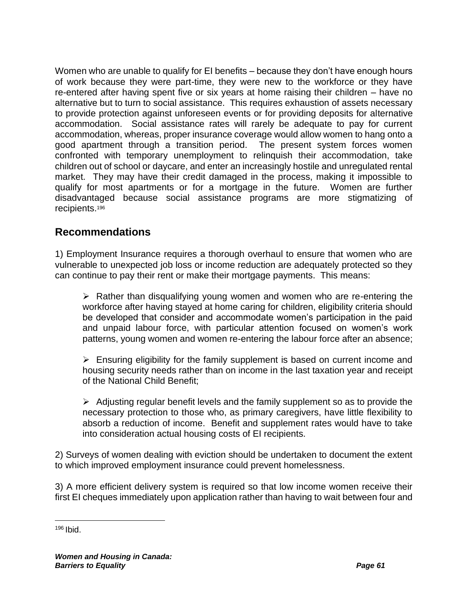Women who are unable to qualify for EI benefits – because they don't have enough hours of work because they were part-time, they were new to the workforce or they have re-entered after having spent five or six years at home raising their children – have no alternative but to turn to social assistance. This requires exhaustion of assets necessary to provide protection against unforeseen events or for providing deposits for alternative accommodation. Social assistance rates will rarely be adequate to pay for current accommodation, whereas, proper insurance coverage would allow women to hang onto a good apartment through a transition period. The present system forces women confronted with temporary unemployment to relinquish their accommodation, take children out of school or daycare, and enter an increasingly hostile and unregulated rental market. They may have their credit damaged in the process, making it impossible to qualify for most apartments or for a mortgage in the future. Women are further disadvantaged because social assistance programs are more stigmatizing of recipients.<sup>196</sup>

# **Recommendations**

1) Employment Insurance requires a thorough overhaul to ensure that women who are vulnerable to unexpected job loss or income reduction are adequately protected so they can continue to pay their rent or make their mortgage payments. This means:

 $\triangleright$  Rather than disqualifying young women and women who are re-entering the workforce after having stayed at home caring for children, eligibility criteria should be developed that consider and accommodate women's participation in the paid and unpaid labour force, with particular attention focused on women's work patterns, young women and women re-entering the labour force after an absence;

➢ Ensuring eligibility for the family supplement is based on current income and housing security needs rather than on income in the last taxation year and receipt of the National Child Benefit;

 $\triangleright$  Adjusting regular benefit levels and the family supplement so as to provide the necessary protection to those who, as primary caregivers, have little flexibility to absorb a reduction of income. Benefit and supplement rates would have to take into consideration actual housing costs of EI recipients.

2) Surveys of women dealing with eviction should be undertaken to document the extent to which improved employment insurance could prevent homelessness.

3) A more efficient delivery system is required so that low income women receive their first EI cheques immediately upon application rather than having to wait between four and

 $196$  Ibid.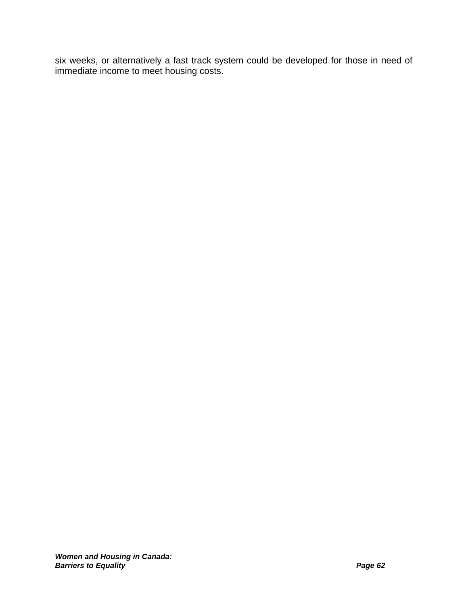six weeks, or alternatively a fast track system could be developed for those in need of immediate income to meet housing costs.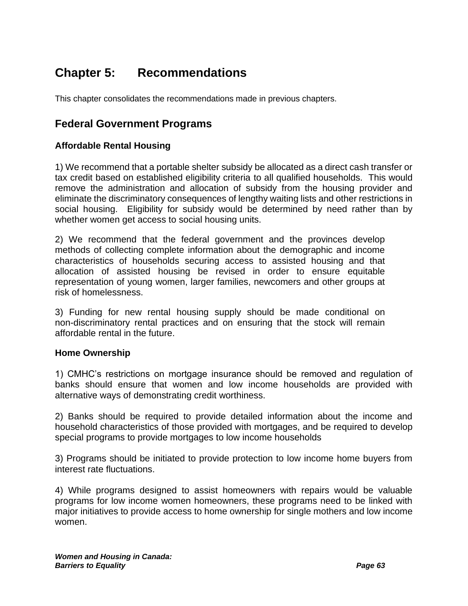# **Chapter 5: Recommendations**

This chapter consolidates the recommendations made in previous chapters.

### **Federal Government Programs**

#### **Affordable Rental Housing**

1) We recommend that a portable shelter subsidy be allocated as a direct cash transfer or tax credit based on established eligibility criteria to all qualified households. This would remove the administration and allocation of subsidy from the housing provider and eliminate the discriminatory consequences of lengthy waiting lists and other restrictions in social housing. Eligibility for subsidy would be determined by need rather than by whether women get access to social housing units.

2) We recommend that the federal government and the provinces develop methods of collecting complete information about the demographic and income characteristics of households securing access to assisted housing and that allocation of assisted housing be revised in order to ensure equitable representation of young women, larger families, newcomers and other groups at risk of homelessness.

3) Funding for new rental housing supply should be made conditional on non-discriminatory rental practices and on ensuring that the stock will remain affordable rental in the future.

#### **Home Ownership**

1) CMHC's restrictions on mortgage insurance should be removed and regulation of banks should ensure that women and low income households are provided with alternative ways of demonstrating credit worthiness.

2) Banks should be required to provide detailed information about the income and household characteristics of those provided with mortgages, and be required to develop special programs to provide mortgages to low income households

3) Programs should be initiated to provide protection to low income home buyers from interest rate fluctuations.

4) While programs designed to assist homeowners with repairs would be valuable programs for low income women homeowners, these programs need to be linked with major initiatives to provide access to home ownership for single mothers and low income women.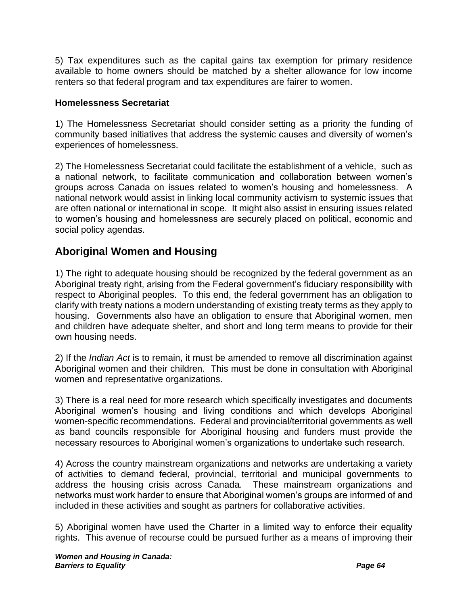5) Tax expenditures such as the capital gains tax exemption for primary residence available to home owners should be matched by a shelter allowance for low income renters so that federal program and tax expenditures are fairer to women.

#### **Homelessness Secretariat**

1) The Homelessness Secretariat should consider setting as a priority the funding of community based initiatives that address the systemic causes and diversity of women's experiences of homelessness.

2) The Homelessness Secretariat could facilitate the establishment of a vehicle, such as a national network, to facilitate communication and collaboration between women's groups across Canada on issues related to women's housing and homelessness. A national network would assist in linking local community activism to systemic issues that are often national or international in scope. It might also assist in ensuring issues related to women's housing and homelessness are securely placed on political, economic and social policy agendas.

# **Aboriginal Women and Housing**

1) The right to adequate housing should be recognized by the federal government as an Aboriginal treaty right, arising from the Federal government's fiduciary responsibility with respect to Aboriginal peoples. To this end, the federal government has an obligation to clarify with treaty nations a modern understanding of existing treaty terms as they apply to housing. Governments also have an obligation to ensure that Aboriginal women, men and children have adequate shelter, and short and long term means to provide for their own housing needs.

2) If the *Indian Act* is to remain, it must be amended to remove all discrimination against Aboriginal women and their children. This must be done in consultation with Aboriginal women and representative organizations.

3) There is a real need for more research which specifically investigates and documents Aboriginal women's housing and living conditions and which develops Aboriginal women-specific recommendations. Federal and provincial/territorial governments as well as band councils responsible for Aboriginal housing and funders must provide the necessary resources to Aboriginal women's organizations to undertake such research.

4) Across the country mainstream organizations and networks are undertaking a variety of activities to demand federal, provincial, territorial and municipal governments to address the housing crisis across Canada. These mainstream organizations and networks must work harder to ensure that Aboriginal women's groups are informed of and included in these activities and sought as partners for collaborative activities.

5) Aboriginal women have used the Charter in a limited way to enforce their equality rights. This avenue of recourse could be pursued further as a means of improving their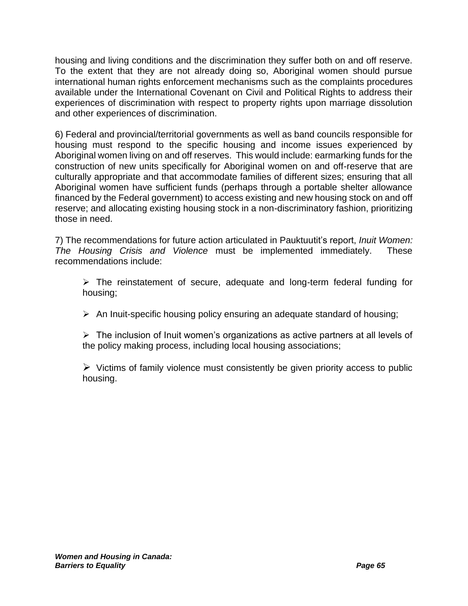housing and living conditions and the discrimination they suffer both on and off reserve. To the extent that they are not already doing so, Aboriginal women should pursue international human rights enforcement mechanisms such as the complaints procedures available under the International Covenant on Civil and Political Rights to address their experiences of discrimination with respect to property rights upon marriage dissolution and other experiences of discrimination.

6) Federal and provincial/territorial governments as well as band councils responsible for housing must respond to the specific housing and income issues experienced by Aboriginal women living on and off reserves. This would include: earmarking funds for the construction of new units specifically for Aboriginal women on and off-reserve that are culturally appropriate and that accommodate families of different sizes; ensuring that all Aboriginal women have sufficient funds (perhaps through a portable shelter allowance financed by the Federal government) to access existing and new housing stock on and off reserve; and allocating existing housing stock in a non-discriminatory fashion, prioritizing those in need.

7) The recommendations for future action articulated in Pauktuutit's report, *Inuit Women: The Housing Crisis and Violence* must be implemented immediately. These recommendations include:

➢ The reinstatement of secure, adequate and long-term federal funding for housing;

➢ An Inuit-specific housing policy ensuring an adequate standard of housing;

 $\triangleright$  The inclusion of Inuit women's organizations as active partners at all levels of the policy making process, including local housing associations;

 $\triangleright$  Victims of family violence must consistently be given priority access to public housing.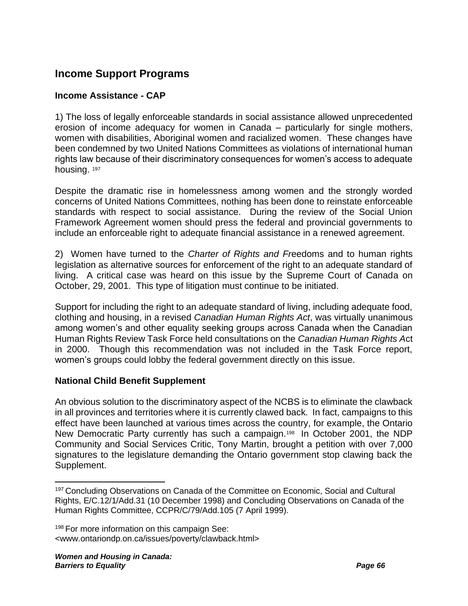# **Income Support Programs**

#### **Income Assistance - CAP**

1) The loss of legally enforceable standards in social assistance allowed unprecedented erosion of income adequacy for women in Canada – particularly for single mothers, women with disabilities, Aboriginal women and racialized women. These changes have been condemned by two United Nations Committees as violations of international human rights law because of their discriminatory consequences for women's access to adequate housing. 197

Despite the dramatic rise in homelessness among women and the strongly worded concerns of United Nations Committees, nothing has been done to reinstate enforceable standards with respect to social assistance. During the review of the Social Union Framework Agreement women should press the federal and provincial governments to include an enforceable right to adequate financial assistance in a renewed agreement.

2) Women have turned to the *Charter of Rights and Fr*eedoms and to human rights legislation as alternative sources for enforcement of the right to an adequate standard of living. A critical case was heard on this issue by the Supreme Court of Canada on October, 29, 2001. This type of litigation must continue to be initiated.

Support for including the right to an adequate standard of living, including adequate food, clothing and housing, in a revised *Canadian Human Rights Act*, was virtually unanimous among women's and other equality seeking groups across Canada when the Canadian Human Rights Review Task Force held consultations on the *Canadian Human Rights A*ct in 2000. Though this recommendation was not included in the Task Force report, women's groups could lobby the federal government directly on this issue.

#### **National Child Benefit Supplement**

An obvious solution to the discriminatory aspect of the NCBS is to eliminate the clawback in all provinces and territories where it is currently clawed back. In fact, campaigns to this effect have been launched at various times across the country, for example, the Ontario New Democratic Party currently has such a campaign.<sup>198</sup> In October 2001, the NDP Community and Social Services Critic, Tony Martin, brought a petition with over 7,000 signatures to the legislature demanding the Ontario government stop clawing back the Supplement.

<sup>&</sup>lt;sup>197</sup> Concluding Observations on Canada of the Committee on Economic, Social and Cultural Rights, E/C.12/1/Add.31 (10 December 1998) and Concluding Observations on Canada of the Human Rights Committee, CCPR/C/79/Add.105 (7 April 1999).

<sup>&</sup>lt;sup>198</sup> For more information on this campaign See: <www.ontariondp.on.ca/issues/poverty/clawback.html>